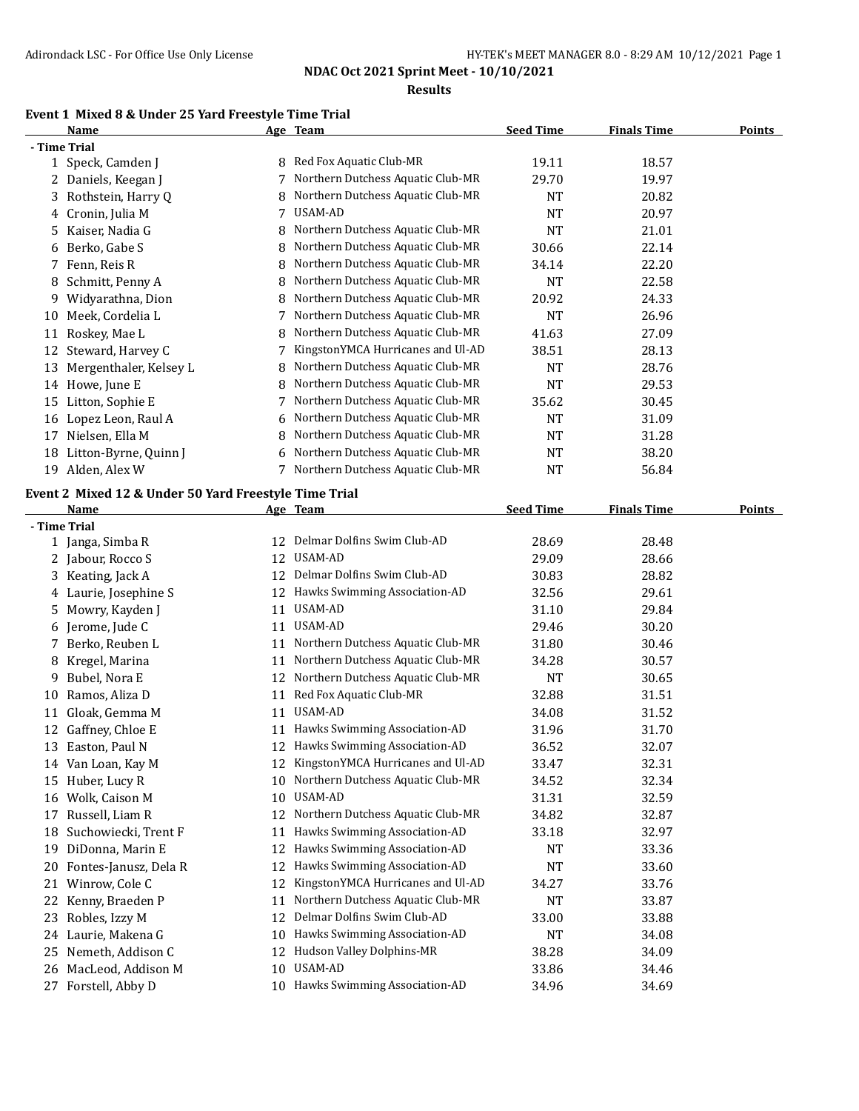#### **Results**

# **Event 1 Mixed 8 & Under 25 Yard Freestyle Time Trial**

|              | <b>Name</b>            |   | Age Team                          | <b>Seed Time</b> | <b>Finals Time</b> | <b>Points</b> |
|--------------|------------------------|---|-----------------------------------|------------------|--------------------|---------------|
| - Time Trial |                        |   |                                   |                  |                    |               |
|              | 1 Speck, Camden J      | 8 | Red Fox Aquatic Club-MR           | 19.11            | 18.57              |               |
|              | 2 Daniels, Keegan J    |   | Northern Dutchess Aquatic Club-MR | 29.70            | 19.97              |               |
| 3            | Rothstein, Harry Q     | 8 | Northern Dutchess Aquatic Club-MR | NT               | 20.82              |               |
|              | 4 Cronin, Julia M      | 7 | USAM-AD                           | <b>NT</b>        | 20.97              |               |
| 5.           | Kaiser, Nadia G        | 8 | Northern Dutchess Aquatic Club-MR | <b>NT</b>        | 21.01              |               |
| 6            | Berko, Gabe S          | 8 | Northern Dutchess Aquatic Club-MR | 30.66            | 22.14              |               |
|              | 7 Fenn, Reis R         | 8 | Northern Dutchess Aquatic Club-MR | 34.14            | 22.20              |               |
| 8            | Schmitt, Penny A       | 8 | Northern Dutchess Aquatic Club-MR | <b>NT</b>        | 22.58              |               |
| 9.           | Widyarathna, Dion      |   | Northern Dutchess Aquatic Club-MR | 20.92            | 24.33              |               |
| 10           | Meek, Cordelia L       |   | Northern Dutchess Aquatic Club-MR | <b>NT</b>        | 26.96              |               |
| 11           | Roskey, Mae L          |   | Northern Dutchess Aquatic Club-MR | 41.63            | 27.09              |               |
| 12           | Steward, Harvey C      |   | KingstonYMCA Hurricanes and Ul-AD | 38.51            | 28.13              |               |
| 13           | Mergenthaler, Kelsey L | 8 | Northern Dutchess Aquatic Club-MR | <b>NT</b>        | 28.76              |               |
| 14           | Howe, June E           | 8 | Northern Dutchess Aquatic Club-MR | NT               | 29.53              |               |
| 15           | Litton, Sophie E       | 7 | Northern Dutchess Aquatic Club-MR | 35.62            | 30.45              |               |
| 16           | Lopez Leon, Raul A     | 6 | Northern Dutchess Aquatic Club-MR | <b>NT</b>        | 31.09              |               |
| 17           | Nielsen, Ella M        | 8 | Northern Dutchess Aquatic Club-MR | <b>NT</b>        | 31.28              |               |
| 18           | Litton-Byrne, Quinn J  | 6 | Northern Dutchess Aquatic Club-MR | <b>NT</b>        | 38.20              |               |
| 19           | Alden, Alex W          |   | Northern Dutchess Aquatic Club-MR | <b>NT</b>        | 56.84              |               |

#### **Event 2 Mixed 12 & Under 50 Yard Freestyle Time Trial**

|              | <b>Name</b>           |    | Age Team                          | <b>Seed Time</b> | <b>Finals Time</b> | Points |
|--------------|-----------------------|----|-----------------------------------|------------------|--------------------|--------|
| - Time Trial |                       |    |                                   |                  |                    |        |
|              | 1 Janga, Simba R      | 12 | Delmar Dolfins Swim Club-AD       | 28.69            | 28.48              |        |
| 2            | Jabour, Rocco S       | 12 | USAM-AD                           | 29.09            | 28.66              |        |
| 3            | Keating, Jack A       | 12 | Delmar Dolfins Swim Club-AD       | 30.83            | 28.82              |        |
|              | 4 Laurie, Josephine S | 12 | Hawks Swimming Association-AD     | 32.56            | 29.61              |        |
| 5            | Mowry, Kayden J       | 11 | USAM-AD                           | 31.10            | 29.84              |        |
| 6            | Jerome, Jude C        | 11 | USAM-AD                           | 29.46            | 30.20              |        |
|              | Berko, Reuben L       | 11 | Northern Dutchess Aquatic Club-MR | 31.80            | 30.46              |        |
| 8            | Kregel, Marina        | 11 | Northern Dutchess Aquatic Club-MR | 34.28            | 30.57              |        |
| 9            | Bubel, Nora E         | 12 | Northern Dutchess Aquatic Club-MR | <b>NT</b>        | 30.65              |        |
| 10           | Ramos, Aliza D        | 11 | Red Fox Aquatic Club-MR           | 32.88            | 31.51              |        |
| 11           | Gloak, Gemma M        | 11 | USAM-AD                           | 34.08            | 31.52              |        |
| 12           | Gaffney, Chloe E      | 11 | Hawks Swimming Association-AD     | 31.96            | 31.70              |        |
| 13           | Easton, Paul N        | 12 | Hawks Swimming Association-AD     | 36.52            | 32.07              |        |
| 14           | Van Loan, Kay M       | 12 | KingstonYMCA Hurricanes and Ul-AD | 33.47            | 32.31              |        |
| 15           | Huber, Lucy R         | 10 | Northern Dutchess Aquatic Club-MR | 34.52            | 32.34              |        |
| 16           | Wolk, Caison M        | 10 | <b>USAM-AD</b>                    | 31.31            | 32.59              |        |
| 17           | Russell, Liam R       | 12 | Northern Dutchess Aquatic Club-MR | 34.82            | 32.87              |        |
| 18           | Suchowiecki, Trent F  | 11 | Hawks Swimming Association-AD     | 33.18            | 32.97              |        |
| 19           | DiDonna, Marin E      | 12 | Hawks Swimming Association-AD     | <b>NT</b>        | 33.36              |        |
| 20           | Fontes-Janusz, Dela R | 12 | Hawks Swimming Association-AD     | <b>NT</b>        | 33.60              |        |
| 21           | Winrow, Cole C        | 12 | KingstonYMCA Hurricanes and Ul-AD | 34.27            | 33.76              |        |
| 22           | Kenny, Braeden P      | 11 | Northern Dutchess Aquatic Club-MR | <b>NT</b>        | 33.87              |        |
| 23           | Robles, Izzy M        | 12 | Delmar Dolfins Swim Club-AD       | 33.00            | 33.88              |        |
| 24           | Laurie, Makena G      | 10 | Hawks Swimming Association-AD     | <b>NT</b>        | 34.08              |        |
| 25           | Nemeth, Addison C     | 12 | Hudson Valley Dolphins-MR         | 38.28            | 34.09              |        |
| 26           | MacLeod, Addison M    | 10 | <b>USAM-AD</b>                    | 33.86            | 34.46              |        |
| 27           | Forstell, Abby D      | 10 | Hawks Swimming Association-AD     | 34.96            | 34.69              |        |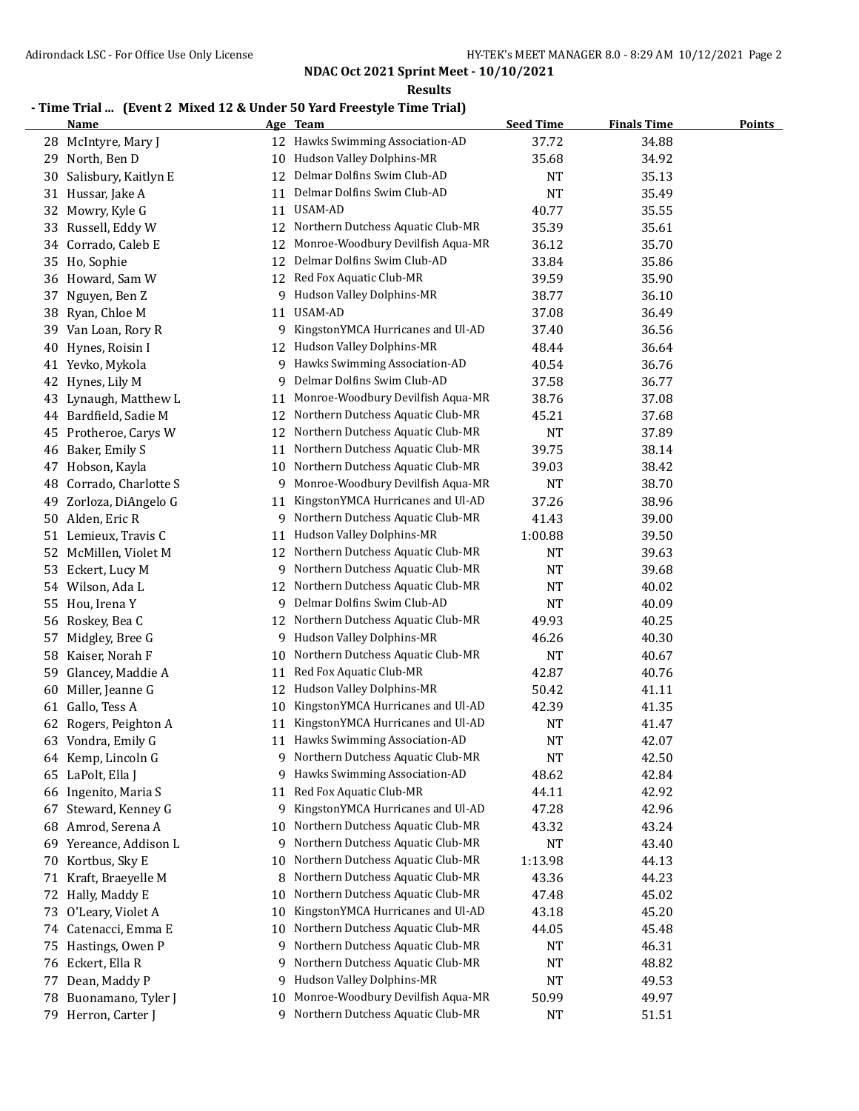**Results**

## **- Time Trial ... (Event 2 Mixed 12 & Under 50 Yard Freestyle Time Trial)**

|    | <b>Name</b>           |    | Age Team                            | <b>Seed Time</b> | <b>Finals Time</b> | <b>Points</b> |
|----|-----------------------|----|-------------------------------------|------------------|--------------------|---------------|
|    | 28 McIntyre, Mary J   |    | 12 Hawks Swimming Association-AD    | 37.72            | 34.88              |               |
| 29 | North, Ben D          | 10 | Hudson Valley Dolphins-MR           | 35.68            | 34.92              |               |
| 30 | Salisbury, Kaitlyn E  | 12 | Delmar Dolfins Swim Club-AD         | NT               | 35.13              |               |
| 31 | Hussar, Jake A        | 11 | Delmar Dolfins Swim Club-AD         | <b>NT</b>        | 35.49              |               |
| 32 | Mowry, Kyle G         | 11 | USAM-AD                             | 40.77            | 35.55              |               |
| 33 | Russell, Eddy W       | 12 | Northern Dutchess Aquatic Club-MR   | 35.39            | 35.61              |               |
| 34 | Corrado, Caleb E      | 12 | Monroe-Woodbury Devilfish Aqua-MR   | 36.12            | 35.70              |               |
| 35 | Ho, Sophie            | 12 | Delmar Dolfins Swim Club-AD         | 33.84            | 35.86              |               |
| 36 | Howard, Sam W         | 12 | Red Fox Aquatic Club-MR             | 39.59            | 35.90              |               |
| 37 | Nguyen, Ben Z         | 9  | Hudson Valley Dolphins-MR           | 38.77            | 36.10              |               |
| 38 | Ryan, Chloe M         | 11 | USAM-AD                             | 37.08            | 36.49              |               |
| 39 | Van Loan, Rory R      | 9  | KingstonYMCA Hurricanes and Ul-AD   | 37.40            | 36.56              |               |
| 40 | Hynes, Roisin I       | 12 | Hudson Valley Dolphins-MR           | 48.44            | 36.64              |               |
|    | 41 Yevko, Mykola      | 9  | Hawks Swimming Association-AD       | 40.54            | 36.76              |               |
|    | 42 Hynes, Lily M      | 9  | Delmar Dolfins Swim Club-AD         | 37.58            | 36.77              |               |
| 43 | Lynaugh, Matthew L    | 11 | Monroe-Woodbury Devilfish Aqua-MR   | 38.76            | 37.08              |               |
|    | 44 Bardfield, Sadie M | 12 | Northern Dutchess Aquatic Club-MR   | 45.21            | 37.68              |               |
| 45 | Protheroe, Carys W    | 12 | Northern Dutchess Aquatic Club-MR   | <b>NT</b>        | 37.89              |               |
| 46 | Baker, Emily S        | 11 | Northern Dutchess Aquatic Club-MR   | 39.75            | 38.14              |               |
| 47 | Hobson, Kayla         | 10 | Northern Dutchess Aquatic Club-MR   | 39.03            | 38.42              |               |
| 48 | Corrado, Charlotte S  | 9  | Monroe-Woodbury Devilfish Aqua-MR   | NT               | 38.70              |               |
| 49 | Zorloza, DiAngelo G   | 11 | KingstonYMCA Hurricanes and Ul-AD   | 37.26            | 38.96              |               |
| 50 | Alden, Eric R         | 9  | Northern Dutchess Aquatic Club-MR   | 41.43            | 39.00              |               |
| 51 | Lemieux, Travis C     | 11 | Hudson Valley Dolphins-MR           | 1:00.88          | 39.50              |               |
| 52 | McMillen, Violet M    | 12 | Northern Dutchess Aquatic Club-MR   | <b>NT</b>        | 39.63              |               |
| 53 | Eckert, Lucy M        | 9. | Northern Dutchess Aquatic Club-MR   | <b>NT</b>        | 39.68              |               |
| 54 | Wilson, Ada L         | 12 | Northern Dutchess Aquatic Club-MR   | <b>NT</b>        | 40.02              |               |
| 55 | Hou, Irena Y          | 9. | Delmar Dolfins Swim Club-AD         | NT               | 40.09              |               |
| 56 | Roskey, Bea C         | 12 | Northern Dutchess Aquatic Club-MR   | 49.93            | 40.25              |               |
| 57 | Midgley, Bree G       | 9  | Hudson Valley Dolphins-MR           | 46.26            | 40.30              |               |
| 58 | Kaiser, Norah F       | 10 | Northern Dutchess Aquatic Club-MR   | <b>NT</b>        | 40.67              |               |
| 59 | Glancey, Maddie A     | 11 | Red Fox Aquatic Club-MR             | 42.87            | 40.76              |               |
| 60 | Miller, Jeanne G      | 12 | Hudson Valley Dolphins-MR           | 50.42            | 41.11              |               |
|    | 61 Gallo, Tess A      | 10 | KingstonYMCA Hurricanes and Ul-AD   | 42.39            | 41.35              |               |
| 62 | Rogers, Peighton A    | 11 | KingstonYMCA Hurricanes and Ul-AD   | NT               | 41.47              |               |
|    | 63 Vondra, Emily G    |    | 11 Hawks Swimming Association-AD    | <b>NT</b>        | 42.07              |               |
|    | 64 Kemp, Lincoln G    |    | 9 Northern Dutchess Aquatic Club-MR | <b>NT</b>        | 42.50              |               |
| 65 | LaPolt, Ella J        | 9  | Hawks Swimming Association-AD       | 48.62            | 42.84              |               |
| 66 | Ingenito, Maria S     | 11 | Red Fox Aquatic Club-MR             | 44.11            | 42.92              |               |
| 67 | Steward, Kenney G     | 9  | KingstonYMCA Hurricanes and Ul-AD   | 47.28            | 42.96              |               |
| 68 | Amrod, Serena A       | 10 | Northern Dutchess Aquatic Club-MR   | 43.32            | 43.24              |               |
| 69 | Yereance, Addison L   | 9  | Northern Dutchess Aquatic Club-MR   | <b>NT</b>        | 43.40              |               |
| 70 | Kortbus, Sky E        | 10 | Northern Dutchess Aquatic Club-MR   | 1:13.98          | 44.13              |               |
| 71 | Kraft, Braeyelle M    | 8  | Northern Dutchess Aquatic Club-MR   | 43.36            | 44.23              |               |
|    | 72 Hally, Maddy E     | 10 | Northern Dutchess Aquatic Club-MR   | 47.48            | 45.02              |               |
| 73 | O'Leary, Violet A     | 10 | KingstonYMCA Hurricanes and Ul-AD   | 43.18            | 45.20              |               |
|    | 74 Catenacci, Emma E  | 10 | Northern Dutchess Aquatic Club-MR   | 44.05            | 45.48              |               |
| 75 | Hastings, Owen P      | 9  | Northern Dutchess Aquatic Club-MR   | NT               | 46.31              |               |
|    | 76 Eckert, Ella R     | 9  | Northern Dutchess Aquatic Club-MR   | <b>NT</b>        | 48.82              |               |
| 77 | Dean, Maddy P         | 9  | Hudson Valley Dolphins-MR           | <b>NT</b>        | 49.53              |               |
| 78 | Buonamano, Tyler J    | 10 | Monroe-Woodbury Devilfish Aqua-MR   | 50.99            | 49.97              |               |
|    | 79 Herron, Carter J   |    | 9 Northern Dutchess Aquatic Club-MR | <b>NT</b>        | 51.51              |               |
|    |                       |    |                                     |                  |                    |               |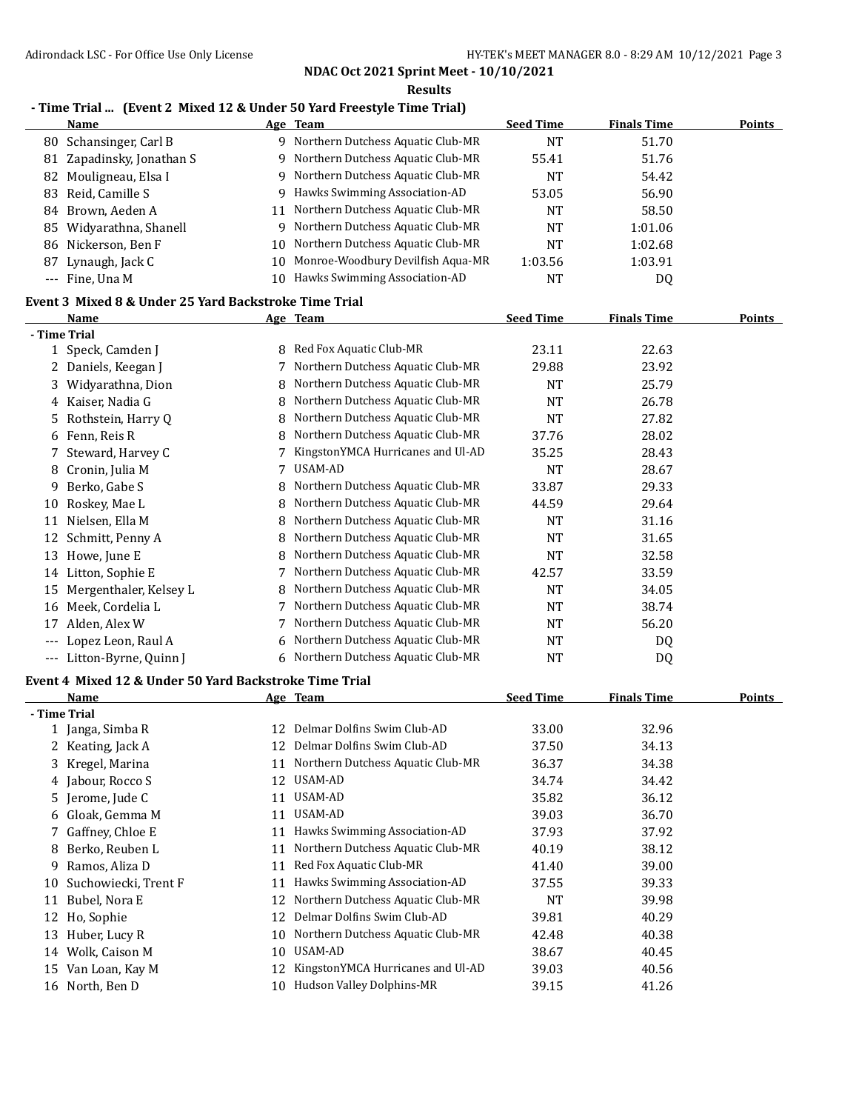**Results**

## **- Time Trial ... (Event 2 Mixed 12 & Under 50 Yard Freestyle Time Trial)**

|    | <b>Name</b>                                           |    | Age Team                            | <b>Seed Time</b> | <b>Finals Time</b> | <b>Points</b> |
|----|-------------------------------------------------------|----|-------------------------------------|------------------|--------------------|---------------|
| 80 | Schansinger, Carl B                                   |    | 9 Northern Dutchess Aquatic Club-MR | <b>NT</b>        | 51.70              |               |
| 81 | Zapadinsky, Jonathan S                                | 9  | Northern Dutchess Aquatic Club-MR   | 55.41            | 51.76              |               |
| 82 | Mouligneau, Elsa I                                    | 9  | Northern Dutchess Aquatic Club-MR   | <b>NT</b>        | 54.42              |               |
| 83 | Reid, Camille S                                       | 9. | Hawks Swimming Association-AD       | 53.05            | 56.90              |               |
| 84 | Brown, Aeden A                                        | 11 | Northern Dutchess Aquatic Club-MR   | <b>NT</b>        | 58.50              |               |
| 85 | Widyarathna, Shanell                                  | 9  | Northern Dutchess Aquatic Club-MR   | <b>NT</b>        | 1:01.06            |               |
| 86 | Nickerson, Ben F                                      | 10 | Northern Dutchess Aquatic Club-MR   | <b>NT</b>        | 1:02.68            |               |
| 87 | Lynaugh, Jack C                                       | 10 | Monroe-Woodbury Devilfish Aqua-MR   | 1:03.56          | 1:03.91            |               |
|    | --- Fine, Una M                                       | 10 | Hawks Swimming Association-AD       | <b>NT</b>        | DQ                 |               |
|    | Event 3 Mixed 8 & Under 25 Yard Backstroke Time Trial |    |                                     |                  |                    |               |
|    | <b>Name</b>                                           |    | Age Team                            | <b>Seed Time</b> | <b>Finals Time</b> | <b>Points</b> |
|    | - Time Trial                                          |    |                                     |                  |                    |               |
|    | 1 Speck, Camden J                                     | 8. | Red Fox Aquatic Club-MR             | 23.11            | 22.63              |               |
| 2  | Daniels, Keegan J                                     | 7  | Northern Dutchess Aquatic Club-MR   | 29.88            | 23.92              |               |
| 3  | Widyarathna, Dion                                     | 8  | Northern Dutchess Aquatic Club-MR   | <b>NT</b>        | 25.79              |               |
| 4  | Kaiser, Nadia G                                       | 8  | Northern Dutchess Aquatic Club-MR   | <b>NT</b>        | 26.78              |               |
| 5  | Rothstein, Harry Q                                    | 8  | Northern Dutchess Aquatic Club-MR   | <b>NT</b>        | 27.82              |               |
| 6  | Fenn, Reis R                                          | 8  | Northern Dutchess Aquatic Club-MR   | 37.76            | 28.02              |               |
| 7  | Steward, Harvey C                                     |    | KingstonYMCA Hurricanes and Ul-AD   | 35.25            | 28.43              |               |
| 8  | Cronin, Julia M                                       | 7  | USAM-AD                             | <b>NT</b>        | 28.67              |               |
| 9  | Berko, Gabe S                                         | 8  | Northern Dutchess Aquatic Club-MR   | 33.87            | 29.33              |               |
| 10 | Roskey, Mae L                                         | 8  | Northern Dutchess Aquatic Club-MR   | 44.59            | 29.64              |               |
| 11 | Nielsen, Ella M                                       | 8  | Northern Dutchess Aquatic Club-MR   | <b>NT</b>        | 31.16              |               |
| 12 | Schmitt, Penny A                                      | 8  | Northern Dutchess Aquatic Club-MR   | <b>NT</b>        | 31.65              |               |
| 13 | Howe, June E                                          | 8  | Northern Dutchess Aquatic Club-MR   | <b>NT</b>        | 32.58              |               |
| 14 | Litton, Sophie E                                      |    | Northern Dutchess Aquatic Club-MR   | 42.57            | 33.59              |               |
| 15 | Mergenthaler, Kelsey L                                | 8  | Northern Dutchess Aquatic Club-MR   | <b>NT</b>        | 34.05              |               |
| 16 | Meek, Cordelia L                                      |    | Northern Dutchess Aquatic Club-MR   | NT               | 38.74              |               |
| 17 | Alden, Alex W                                         |    | Northern Dutchess Aquatic Club-MR   | <b>NT</b>        | 56.20              |               |
|    | Lopez Leon, Raul A                                    | 6  | Northern Dutchess Aquatic Club-MR   | <b>NT</b>        | DQ                 |               |
|    | Litton-Byrne, Quinn J                                 |    | 6 Northern Dutchess Aquatic Club-MR | <b>NT</b>        | <b>DQ</b>          |               |

#### **Event 4 Mixed 12 & Under 50 Yard Backstroke Time Trial**

|              | Name                 |    | Age Team                          | <b>Seed Time</b> | <b>Finals Time</b> | <u>Points</u> |
|--------------|----------------------|----|-----------------------------------|------------------|--------------------|---------------|
| - Time Trial |                      |    |                                   |                  |                    |               |
|              | 1 Janga, Simba R     | 12 | Delmar Dolfins Swim Club-AD       | 33.00            | 32.96              |               |
|              | 2 Keating, Jack A    | 12 | Delmar Dolfins Swim Club-AD       | 37.50            | 34.13              |               |
|              | 3 Kregel, Marina     | 11 | Northern Dutchess Aquatic Club-MR | 36.37            | 34.38              |               |
|              | 4 Jabour, Rocco S    | 12 | USAM-AD                           | 34.74            | 34.42              |               |
|              | 5 Jerome, Jude C     | 11 | USAM-AD                           | 35.82            | 36.12              |               |
|              | 6 Gloak, Gemma M     | 11 | USAM-AD                           | 39.03            | 36.70              |               |
|              | 7 Gaffney, Chloe E   | 11 | Hawks Swimming Association-AD     | 37.93            | 37.92              |               |
| 8            | Berko, Reuben L      | 11 | Northern Dutchess Aquatic Club-MR | 40.19            | 38.12              |               |
| 9.           | Ramos, Aliza D       | 11 | Red Fox Aquatic Club-MR           | 41.40            | 39.00              |               |
| 10           | Suchowiecki, Trent F | 11 | Hawks Swimming Association-AD     | 37.55            | 39.33              |               |
| 11           | Bubel, Nora E        | 12 | Northern Dutchess Aquatic Club-MR | NT               | 39.98              |               |
| 12           | Ho, Sophie           | 12 | Delmar Dolfins Swim Club-AD       | 39.81            | 40.29              |               |
| 13           | Huber, Lucy R        | 10 | Northern Dutchess Aquatic Club-MR | 42.48            | 40.38              |               |
| 14           | Wolk, Caison M       | 10 | USAM-AD                           | 38.67            | 40.45              |               |
| 15           | Van Loan, Kay M      | 12 | KingstonYMCA Hurricanes and Ul-AD | 39.03            | 40.56              |               |
|              | 16 North, Ben D      | 10 | Hudson Valley Dolphins-MR         | 39.15            | 41.26              |               |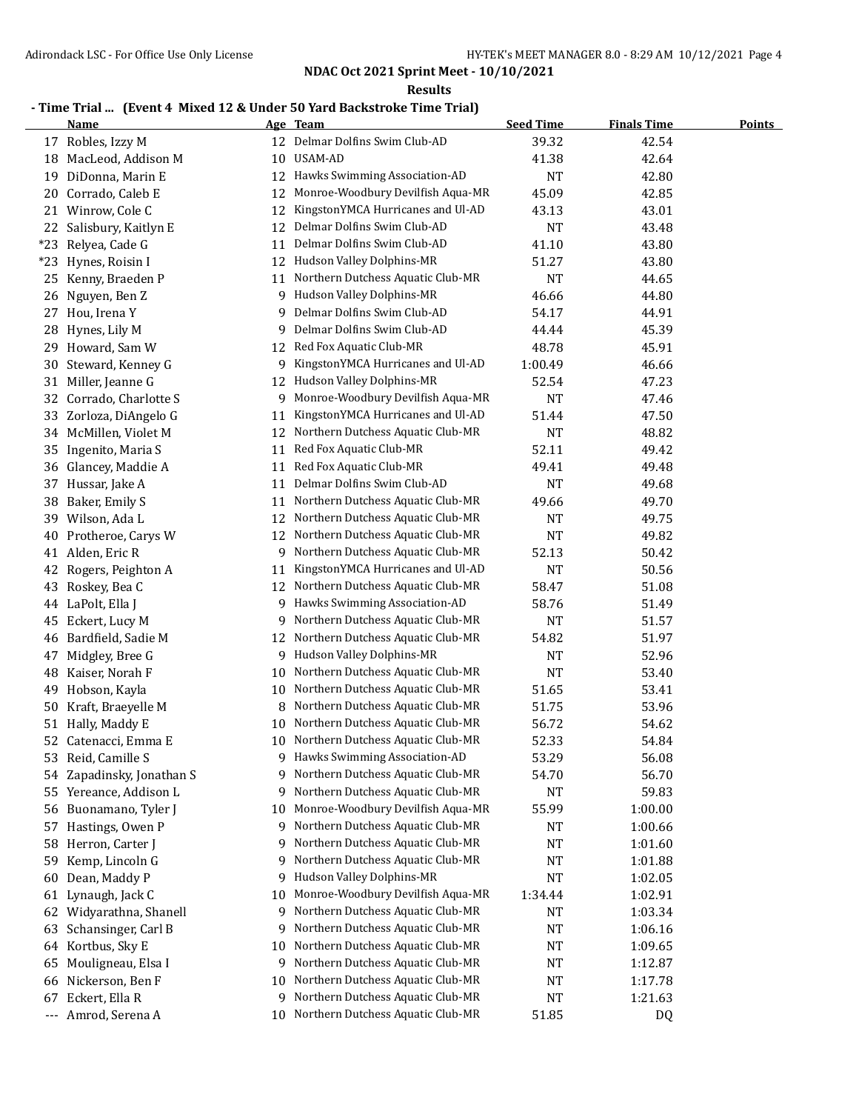**Results**

## **- Time Trial ... (Event 4 Mixed 12 & Under 50 Yard Backstroke Time Trial)**

|       | <b>Name</b>            |    | Age Team                             | <b>Seed Time</b> | <b>Finals Time</b> | <b>Points</b> |
|-------|------------------------|----|--------------------------------------|------------------|--------------------|---------------|
|       | 17 Robles, Izzy M      |    | 12 Delmar Dolfins Swim Club-AD       | 39.32            | 42.54              |               |
|       | 18 MacLeod, Addison M  | 10 | <b>USAM-AD</b>                       | 41.38            | 42.64              |               |
| 19    | DiDonna, Marin E       | 12 | Hawks Swimming Association-AD        | <b>NT</b>        | 42.80              |               |
|       | 20 Corrado, Caleb E    | 12 | Monroe-Woodbury Devilfish Aqua-MR    | 45.09            | 42.85              |               |
| 21    | Winrow, Cole C         | 12 | KingstonYMCA Hurricanes and Ul-AD    | 43.13            | 43.01              |               |
| 22    | Salisbury, Kaitlyn E   | 12 | Delmar Dolfins Swim Club-AD          | <b>NT</b>        | 43.48              |               |
| $*23$ | Relyea, Cade G         | 11 | Delmar Dolfins Swim Club-AD          | 41.10            | 43.80              |               |
| $*23$ | Hynes, Roisin I        | 12 | Hudson Valley Dolphins-MR            | 51.27            | 43.80              |               |
| 25    | Kenny, Braeden P       | 11 | Northern Dutchess Aquatic Club-MR    | <b>NT</b>        | 44.65              |               |
| 26    | Nguyen, Ben Z          | 9  | Hudson Valley Dolphins-MR            | 46.66            | 44.80              |               |
| 27    | Hou, Irena Y           | 9  | Delmar Dolfins Swim Club-AD          | 54.17            | 44.91              |               |
| 28    | Hynes, Lily M          | 9  | Delmar Dolfins Swim Club-AD          | 44.44            | 45.39              |               |
| 29    | Howard, Sam W          | 12 | Red Fox Aquatic Club-MR              | 48.78            | 45.91              |               |
| 30    | Steward, Kenney G      | 9  | KingstonYMCA Hurricanes and Ul-AD    | 1:00.49          | 46.66              |               |
| 31    | Miller, Jeanne G       | 12 | Hudson Valley Dolphins-MR            | 52.54            | 47.23              |               |
| 32    | Corrado, Charlotte S   | 9  | Monroe-Woodbury Devilfish Aqua-MR    | <b>NT</b>        | 47.46              |               |
| 33    | Zorloza, DiAngelo G    | 11 | KingstonYMCA Hurricanes and Ul-AD    | 51.44            | 47.50              |               |
|       | 34 McMillen, Violet M  | 12 | Northern Dutchess Aquatic Club-MR    | <b>NT</b>        | 48.82              |               |
| 35    | Ingenito, Maria S      | 11 | Red Fox Aquatic Club-MR              | 52.11            | 49.42              |               |
| 36    | Glancey, Maddie A      | 11 | Red Fox Aquatic Club-MR              | 49.41            | 49.48              |               |
| 37    | Hussar, Jake A         | 11 | Delmar Dolfins Swim Club-AD          | <b>NT</b>        | 49.68              |               |
| 38    | Baker, Emily S         | 11 | Northern Dutchess Aquatic Club-MR    | 49.66            | 49.70              |               |
| 39    | Wilson, Ada L          | 12 | Northern Dutchess Aquatic Club-MR    | <b>NT</b>        | 49.75              |               |
| 40    | Protheroe, Carys W     | 12 | Northern Dutchess Aquatic Club-MR    | <b>NT</b>        | 49.82              |               |
| 41    | Alden, Eric R          | 9. | Northern Dutchess Aquatic Club-MR    | 52.13            | 50.42              |               |
| 42    | Rogers, Peighton A     | 11 | KingstonYMCA Hurricanes and Ul-AD    | <b>NT</b>        | 50.56              |               |
| 43    | Roskey, Bea C          | 12 | Northern Dutchess Aquatic Club-MR    | 58.47            | 51.08              |               |
| 44    | LaPolt, Ella J         | 9  | Hawks Swimming Association-AD        | 58.76            | 51.49              |               |
| 45    | Eckert, Lucy M         | 9  | Northern Dutchess Aquatic Club-MR    | <b>NT</b>        | 51.57              |               |
|       | 46 Bardfield, Sadie M  | 12 | Northern Dutchess Aquatic Club-MR    | 54.82            | 51.97              |               |
| 47    | Midgley, Bree G        | 9  | Hudson Valley Dolphins-MR            | <b>NT</b>        | 52.96              |               |
|       | 48 Kaiser, Norah F     | 10 | Northern Dutchess Aquatic Club-MR    | <b>NT</b>        | 53.40              |               |
| 49    | Hobson, Kayla          | 10 | Northern Dutchess Aquatic Club-MR    | 51.65            | 53.41              |               |
| 50    | Kraft, Braeyelle M     | 8  | Northern Dutchess Aquatic Club-MR    | 51.75            | 53.96              |               |
| 51    | Hally, Maddy E         | 10 | Northern Dutchess Aquatic Club-MR    | 56.72            | 54.62              |               |
|       | 52 Catenacci, Emma E   |    | 10 Northern Dutchess Aquatic Club-MR | 52.33            | 54.84              |               |
| 53    | Reid, Camille S        |    | 9 Hawks Swimming Association-AD      | 53.29            | 56.08              |               |
| 54    | Zapadinsky, Jonathan S | 9  | Northern Dutchess Aquatic Club-MR    | 54.70            | 56.70              |               |
| 55    | Yereance, Addison L    | 9  | Northern Dutchess Aquatic Club-MR    | <b>NT</b>        | 59.83              |               |
| 56    | Buonamano, Tyler J     | 10 | Monroe-Woodbury Devilfish Aqua-MR    | 55.99            | 1:00.00            |               |
| 57    | Hastings, Owen P       | 9  | Northern Dutchess Aquatic Club-MR    | NT               | 1:00.66            |               |
| 58    | Herron, Carter J       | 9  | Northern Dutchess Aquatic Club-MR    | <b>NT</b>        | 1:01.60            |               |
| 59    | Kemp, Lincoln G        | 9  | Northern Dutchess Aquatic Club-MR    | <b>NT</b>        | 1:01.88            |               |
| 60    | Dean, Maddy P          | 9  | Hudson Valley Dolphins-MR            | NT               | 1:02.05            |               |
| 61    | Lynaugh, Jack C        | 10 | Monroe-Woodbury Devilfish Aqua-MR    | 1:34.44          | 1:02.91            |               |
| 62    | Widyarathna, Shanell   | 9  | Northern Dutchess Aquatic Club-MR    | NT               | 1:03.34            |               |
| 63    | Schansinger, Carl B    | 9  | Northern Dutchess Aquatic Club-MR    | <b>NT</b>        | 1:06.16            |               |
|       | 64 Kortbus, Sky E      | 10 | Northern Dutchess Aquatic Club-MR    | <b>NT</b>        | 1:09.65            |               |
| 65    | Mouligneau, Elsa I     | 9  | Northern Dutchess Aquatic Club-MR    | <b>NT</b>        | 1:12.87            |               |
| 66    | Nickerson, Ben F       | 10 | Northern Dutchess Aquatic Club-MR    | <b>NT</b>        | 1:17.78            |               |
| 67    | Eckert, Ella R         | 9  | Northern Dutchess Aquatic Club-MR    | <b>NT</b>        | 1:21.63            |               |
|       | --- Amrod, Serena A    | 10 | Northern Dutchess Aquatic Club-MR    | 51.85            | DQ                 |               |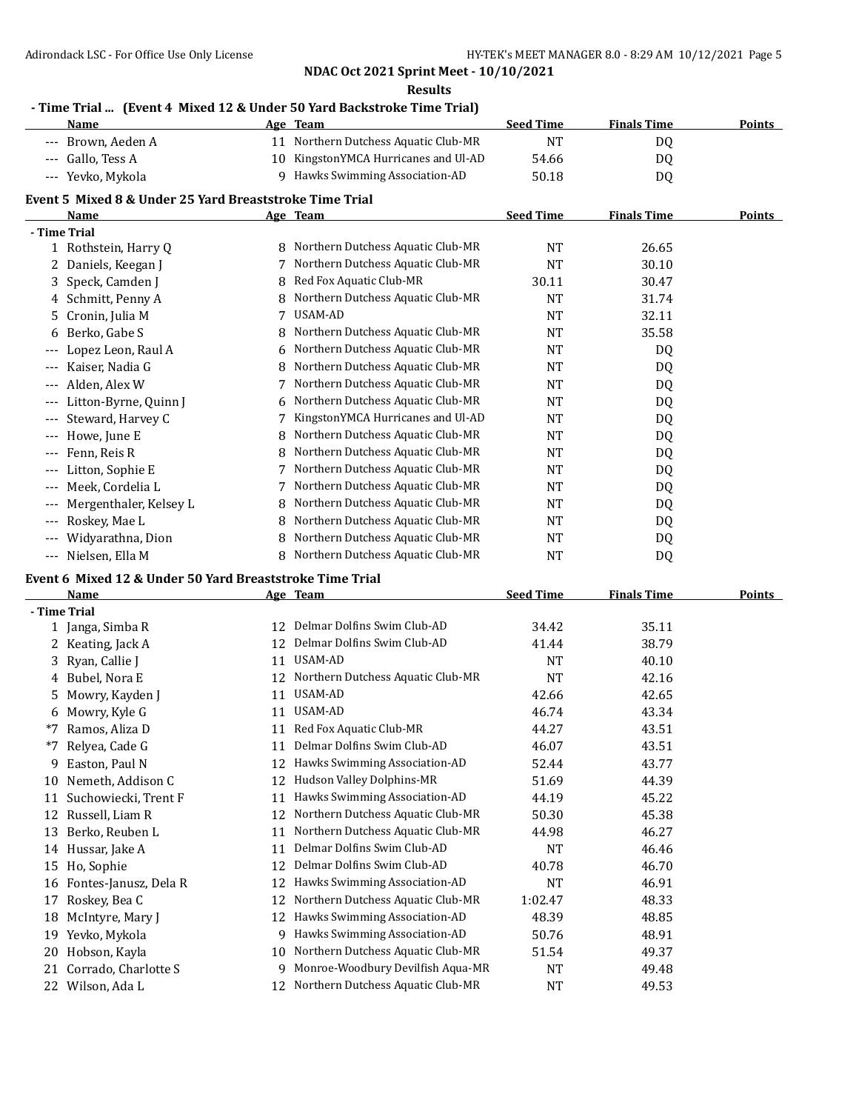**Results**

## **- Time Trial ... (Event 4 Mixed 12 & Under 50 Yard Backstroke Time Trial)**

|       | <b>Name</b>                                             | Age | <b>Team</b>                       | <b>Seed Time</b> | <b>Finals Time</b> | <b>Points</b> |
|-------|---------------------------------------------------------|-----|-----------------------------------|------------------|--------------------|---------------|
| ---   | Brown, Aeden A                                          | 11  | Northern Dutchess Aquatic Club-MR | <b>NT</b>        | DQ                 |               |
|       | Gallo, Tess A                                           | 10  | KingstonYMCA Hurricanes and Ul-AD | 54.66            | DQ                 |               |
| ---   | Yevko, Mykola                                           | 9   | Hawks Swimming Association-AD     | 50.18            | D <sub>0</sub>     |               |
|       | Event 5 Mixed 8 & Under 25 Yard Breaststroke Time Trial |     |                                   |                  |                    |               |
|       | Name                                                    |     | Age Team                          | <b>Seed Time</b> | <b>Finals Time</b> | Points        |
|       | - Time Trial                                            |     |                                   |                  |                    |               |
|       | 1 Rothstein, Harry Q                                    | 8   | Northern Dutchess Aquatic Club-MR | <b>NT</b>        | 26.65              |               |
| 2     | Daniels, Keegan J                                       |     | Northern Dutchess Aquatic Club-MR | <b>NT</b>        | 30.10              |               |
| 3.    | Speck, Camden J                                         | 8   | Red Fox Aquatic Club-MR           | 30.11            | 30.47              |               |
| 4     | Schmitt, Penny A                                        | 8   | Northern Dutchess Aquatic Club-MR | <b>NT</b>        | 31.74              |               |
| 5.    | Cronin, Julia M                                         |     | USAM-AD                           | <b>NT</b>        | 32.11              |               |
| 6     | Berko, Gabe S                                           | 8   | Northern Dutchess Aquatic Club-MR | <b>NT</b>        | 35.58              |               |
| ---   | Lopez Leon, Raul A                                      | 6   | Northern Dutchess Aquatic Club-MR | <b>NT</b>        | DQ                 |               |
| ---   | Kaiser, Nadia G                                         | 8   | Northern Dutchess Aquatic Club-MR | <b>NT</b>        | DQ                 |               |
| ---   | Alden, Alex W                                           |     | Northern Dutchess Aquatic Club-MR | <b>NT</b>        | DQ                 |               |
| ---   | Litton-Byrne, Quinn J                                   | 6   | Northern Dutchess Aquatic Club-MR | <b>NT</b>        | DQ                 |               |
| $---$ | Steward, Harvey C                                       |     | KingstonYMCA Hurricanes and Ul-AD | <b>NT</b>        | DQ                 |               |
| $---$ | Howe, June E                                            | 8   | Northern Dutchess Aquatic Club-MR | <b>NT</b>        | DQ                 |               |
| ---   | Fenn, Reis R                                            | 8   | Northern Dutchess Aquatic Club-MR | <b>NT</b>        | DQ                 |               |
| ---   | Litton, Sophie E                                        |     | Northern Dutchess Aquatic Club-MR | <b>NT</b>        | DQ                 |               |
| $- -$ | Meek, Cordelia L                                        |     | Northern Dutchess Aquatic Club-MR | <b>NT</b>        | DQ                 |               |
| ---   | Mergenthaler, Kelsey L                                  |     | Northern Dutchess Aquatic Club-MR | <b>NT</b>        | DQ                 |               |
| ---   | Roskey, Mae L                                           | 8   | Northern Dutchess Aquatic Club-MR | <b>NT</b>        | DQ                 |               |
| ---   | Widyarathna, Dion                                       |     | Northern Dutchess Aquatic Club-MR | <b>NT</b>        | DQ                 |               |
| $---$ | Nielsen, Ella M                                         | 8   | Northern Dutchess Aquatic Club-MR | <b>NT</b>        | D <sub>0</sub>     |               |

## **Event 6 Mixed 12 & Under 50 Yard Breaststroke Time Trial**

|              | <b>Name</b>           |    | Age Team                          | <b>Seed Time</b> | <b>Finals Time</b> | <b>Points</b> |
|--------------|-----------------------|----|-----------------------------------|------------------|--------------------|---------------|
|              | - Time Trial          |    |                                   |                  |                    |               |
|              | 1 Janga, Simba R      | 12 | Delmar Dolfins Swim Club-AD       | 34.42            | 35.11              |               |
| $\mathbf{Z}$ | Keating, Jack A       | 12 | Delmar Dolfins Swim Club-AD       | 41.44            | 38.79              |               |
| 3            | Ryan, Callie J        | 11 | USAM-AD                           | NT               | 40.10              |               |
| 4            | Bubel, Nora E         | 12 | Northern Dutchess Aquatic Club-MR | NT               | 42.16              |               |
| 5.           | Mowry, Kayden J       | 11 | USAM-AD                           | 42.66            | 42.65              |               |
| 6            | Mowry, Kyle G         | 11 | USAM-AD                           | 46.74            | 43.34              |               |
| *7           | Ramos, Aliza D        | 11 | Red Fox Aquatic Club-MR           | 44.27            | 43.51              |               |
| $*7$         | Relyea, Cade G        | 11 | Delmar Dolfins Swim Club-AD       | 46.07            | 43.51              |               |
| 9            | Easton, Paul N        | 12 | Hawks Swimming Association-AD     | 52.44            | 43.77              |               |
| 10           | Nemeth, Addison C     | 12 | Hudson Valley Dolphins-MR         | 51.69            | 44.39              |               |
| 11           | Suchowiecki, Trent F  | 11 | Hawks Swimming Association-AD     | 44.19            | 45.22              |               |
| 12           | Russell, Liam R       | 12 | Northern Dutchess Aquatic Club-MR | 50.30            | 45.38              |               |
| 13           | Berko, Reuben L       | 11 | Northern Dutchess Aquatic Club-MR | 44.98            | 46.27              |               |
| 14           | Hussar, Jake A        | 11 | Delmar Dolfins Swim Club-AD       | NT               | 46.46              |               |
| 15           | Ho, Sophie            | 12 | Delmar Dolfins Swim Club-AD       | 40.78            | 46.70              |               |
| 16           | Fontes-Janusz, Dela R | 12 | Hawks Swimming Association-AD     | <b>NT</b>        | 46.91              |               |
| 17           | Roskey, Bea C         | 12 | Northern Dutchess Aquatic Club-MR | 1:02.47          | 48.33              |               |
| 18           | McIntyre, Mary J      | 12 | Hawks Swimming Association-AD     | 48.39            | 48.85              |               |
| 19           | Yevko, Mykola         | 9  | Hawks Swimming Association-AD     | 50.76            | 48.91              |               |
| 20           | Hobson, Kayla         | 10 | Northern Dutchess Aquatic Club-MR | 51.54            | 49.37              |               |
| 21           | Corrado, Charlotte S  | 9  | Monroe-Woodbury Devilfish Aqua-MR | <b>NT</b>        | 49.48              |               |
| 22           | Wilson, Ada L         | 12 | Northern Dutchess Aquatic Club-MR | NT               | 49.53              |               |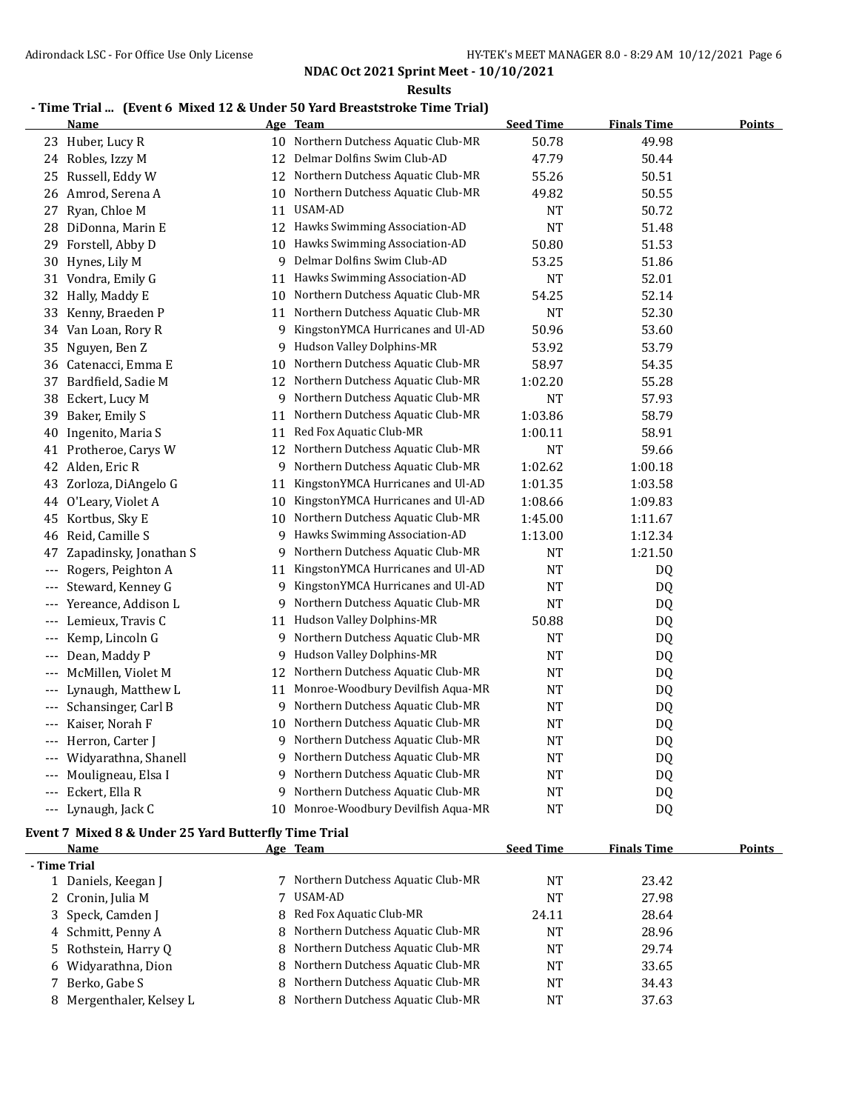**Results**

## **- Time Trial ... (Event 6 Mixed 12 & Under 50 Yard Breaststroke Time Trial)**

|              | <b>Name</b>                                          |    | Age Team                            | <b>Seed Time</b> | <b>Finals Time</b> | <b>Points</b> |
|--------------|------------------------------------------------------|----|-------------------------------------|------------------|--------------------|---------------|
|              | 23 Huber, Lucy R                                     | 10 | Northern Dutchess Aquatic Club-MR   | 50.78            | 49.98              |               |
|              | 24 Robles, Izzy M                                    | 12 | Delmar Dolfins Swim Club-AD         | 47.79            | 50.44              |               |
| 25           | Russell, Eddy W                                      | 12 | Northern Dutchess Aquatic Club-MR   | 55.26            | 50.51              |               |
| 26           | Amrod, Serena A                                      | 10 | Northern Dutchess Aquatic Club-MR   | 49.82            | 50.55              |               |
| 27           | Ryan, Chloe M                                        | 11 | <b>USAM-AD</b>                      | NT               | 50.72              |               |
| 28           | DiDonna, Marin E                                     | 12 | Hawks Swimming Association-AD       | <b>NT</b>        | 51.48              |               |
| 29           | Forstell, Abby D                                     | 10 | Hawks Swimming Association-AD       | 50.80            | 51.53              |               |
| 30           | Hynes, Lily M                                        | 9  | Delmar Dolfins Swim Club-AD         | 53.25            | 51.86              |               |
|              | 31 Vondra, Emily G                                   | 11 | Hawks Swimming Association-AD       | <b>NT</b>        | 52.01              |               |
| 32           | Hally, Maddy E                                       | 10 | Northern Dutchess Aquatic Club-MR   | 54.25            | 52.14              |               |
| 33           | Kenny, Braeden P                                     | 11 | Northern Dutchess Aquatic Club-MR   | <b>NT</b>        | 52.30              |               |
| 34           | Van Loan, Rory R                                     | 9  | KingstonYMCA Hurricanes and Ul-AD   | 50.96            | 53.60              |               |
| 35           | Nguyen, Ben Z                                        | 9  | Hudson Valley Dolphins-MR           | 53.92            | 53.79              |               |
| 36           | Catenacci, Emma E                                    | 10 | Northern Dutchess Aquatic Club-MR   | 58.97            | 54.35              |               |
| 37           | Bardfield, Sadie M                                   | 12 | Northern Dutchess Aquatic Club-MR   | 1:02.20          | 55.28              |               |
| 38           | Eckert, Lucy M                                       | 9  | Northern Dutchess Aquatic Club-MR   | <b>NT</b>        | 57.93              |               |
| 39           | Baker, Emily S                                       | 11 | Northern Dutchess Aquatic Club-MR   | 1:03.86          | 58.79              |               |
| 40           | Ingenito, Maria S                                    | 11 | Red Fox Aquatic Club-MR             | 1:00.11          | 58.91              |               |
|              | 41 Protheroe, Carys W                                | 12 | Northern Dutchess Aquatic Club-MR   | <b>NT</b>        | 59.66              |               |
| 42           | Alden, Eric R                                        | 9  | Northern Dutchess Aquatic Club-MR   | 1:02.62          | 1:00.18            |               |
| 43           | Zorloza, DiAngelo G                                  | 11 | KingstonYMCA Hurricanes and Ul-AD   | 1:01.35          | 1:03.58            |               |
| 44           | O'Leary, Violet A                                    | 10 | KingstonYMCA Hurricanes and Ul-AD   | 1:08.66          | 1:09.83            |               |
| 45           | Kortbus, Sky E                                       | 10 | Northern Dutchess Aquatic Club-MR   | 1:45.00          | 1:11.67            |               |
| 46           | Reid, Camille S                                      | 9  | Hawks Swimming Association-AD       | 1:13.00          | 1:12.34            |               |
| 47           | Zapadinsky, Jonathan S                               | 9  | Northern Dutchess Aquatic Club-MR   | NT               | 1:21.50            |               |
| $---$        | Rogers, Peighton A                                   | 11 | KingstonYMCA Hurricanes and Ul-AD   | <b>NT</b>        | DQ                 |               |
| $---$        | Steward, Kenney G                                    | 9  | KingstonYMCA Hurricanes and Ul-AD   | <b>NT</b>        | DQ                 |               |
| $---$        | Yereance, Addison L                                  | 9  | Northern Dutchess Aquatic Club-MR   | <b>NT</b>        | DQ                 |               |
| $---$        | Lemieux, Travis C                                    | 11 | Hudson Valley Dolphins-MR           | 50.88            | DQ                 |               |
| $---$        | Kemp, Lincoln G                                      | 9  | Northern Dutchess Aquatic Club-MR   | <b>NT</b>        | DQ                 |               |
| $---$        | Dean, Maddy P                                        | 9  | Hudson Valley Dolphins-MR           | <b>NT</b>        | DQ                 |               |
| $---$        | McMillen, Violet M                                   | 12 | Northern Dutchess Aquatic Club-MR   | <b>NT</b>        | DQ                 |               |
| $---$        | Lynaugh, Matthew L                                   | 11 | Monroe-Woodbury Devilfish Aqua-MR   | NT               | DQ                 |               |
| $---$        | Schansinger, Carl B                                  | 9  | Northern Dutchess Aquatic Club-MR   | NT               | DQ                 |               |
| ---          | Kaiser, Norah F                                      | 10 | Northern Dutchess Aquatic Club-MR   | <b>NT</b>        | DQ                 |               |
| $---$        | Herron, Carter J                                     | 9  | Northern Dutchess Aquatic Club-MR   | <b>NT</b>        | DQ                 |               |
|              | --- Widyarathna, Shanell                             | 9  | Northern Dutchess Aquatic Club-MR   | <b>NT</b>        | DQ                 |               |
|              | Mouligneau, Elsa I                                   | 9  | Northern Dutchess Aquatic Club-MR   | <b>NT</b>        | DQ                 |               |
|              | Eckert, Ella R                                       | 9  | Northern Dutchess Aquatic Club-MR   | <b>NT</b>        | DQ                 |               |
|              | Lynaugh, Jack C                                      | 10 | Monroe-Woodbury Devilfish Aqua-MR   | <b>NT</b>        | <b>DQ</b>          |               |
|              |                                                      |    |                                     |                  |                    |               |
|              | Event 7 Mixed 8 & Under 25 Yard Butterfly Time Trial |    |                                     |                  |                    |               |
| - Time Trial | <b>Name</b>                                          |    | Age Team                            | <b>Seed Time</b> | <b>Finals Time</b> | <b>Points</b> |
|              | 1 Daniels, Keegan J                                  |    | 7 Northern Dutchess Aquatic Club-MR | NT               | 23.42              |               |
|              | 2 Cronin, Julia M                                    | 7  | <b>USAM-AD</b>                      | <b>NT</b>        | 27.98              |               |
| 3            | Speck, Camden J                                      | 8  | Red Fox Aquatic Club-MR             | 24.11            | 28.64              |               |
| 4            | Schmitt, Penny A                                     | 8  | Northern Dutchess Aquatic Club-MR   | NT               | 28.96              |               |
| 5            | Rothstein, Harry Q                                   | 8  | Northern Dutchess Aquatic Club-MR   | NT               | 29.74              |               |
| 6            | Widyarathna, Dion                                    | 8  | Northern Dutchess Aquatic Club-MR   | NT               | 33.65              |               |
| 7            | Berko, Gabe S                                        | 8  | Northern Dutchess Aquatic Club-MR   | <b>NT</b>        | 34.43              |               |
|              | 8 Mergenthaler, Kelsey L                             | 8  | Northern Dutchess Aquatic Club-MR   | <b>NT</b>        | 37.63              |               |
|              |                                                      |    |                                     |                  |                    |               |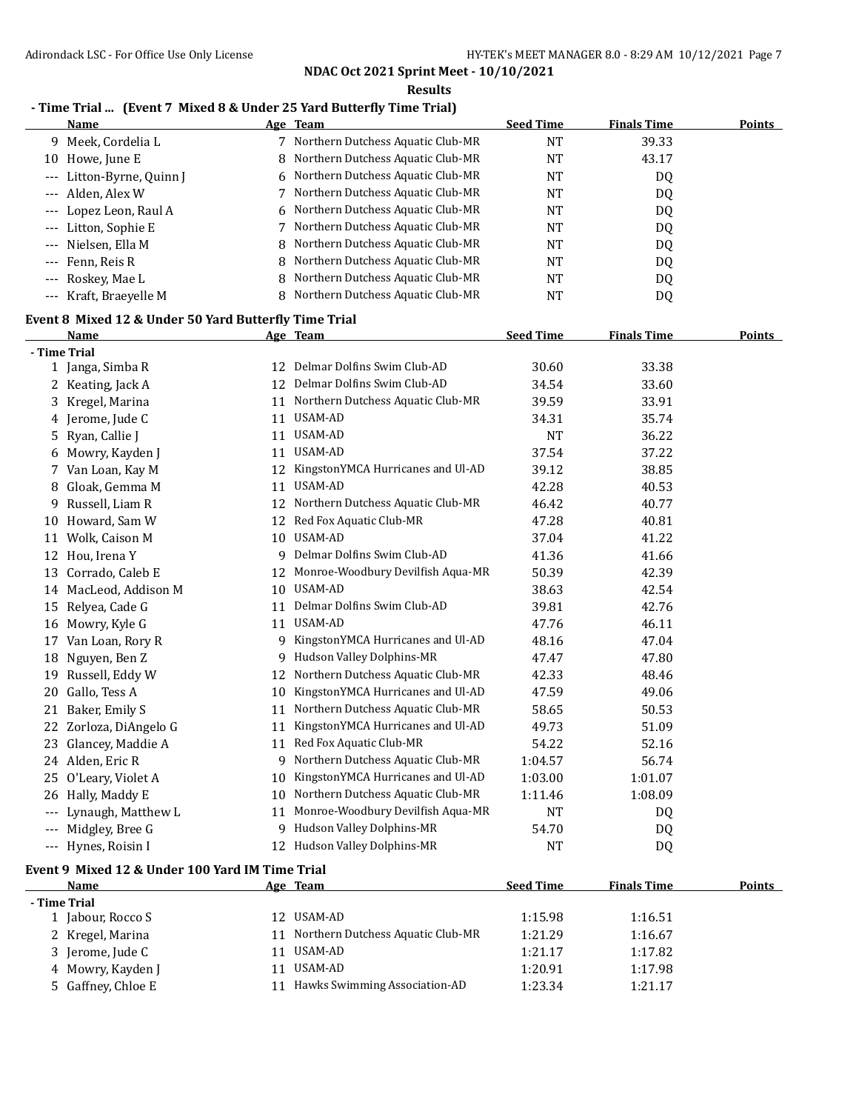**Results**

### **- Time Trial ... (Event 7 Mixed 8 & Under 25 Yard Butterfly Time Trial)**

|                                          | <b>Name</b>                                           |    | Age Team                             | <b>Seed Time</b> | <b>Finals Time</b> | <b>Points</b> |
|------------------------------------------|-------------------------------------------------------|----|--------------------------------------|------------------|--------------------|---------------|
| 9                                        | Meek, Cordelia L                                      |    | 7 Northern Dutchess Aquatic Club-MR  | <b>NT</b>        | 39.33              |               |
|                                          | 10 Howe, June E                                       | 8  | Northern Dutchess Aquatic Club-MR    | <b>NT</b>        | 43.17              |               |
| $---$                                    | Litton-Byrne, Quinn J                                 | 6  | Northern Dutchess Aquatic Club-MR    | <b>NT</b>        | DQ                 |               |
|                                          | Alden, Alex W                                         |    | 7 Northern Dutchess Aquatic Club-MR  | <b>NT</b>        | DQ                 |               |
| $---$                                    | Lopez Leon, Raul A                                    | 6  | Northern Dutchess Aquatic Club-MR    | NT               | DQ                 |               |
| $---$                                    | Litton, Sophie E                                      |    | 7 Northern Dutchess Aquatic Club-MR  | NT               | DQ                 |               |
| $---$                                    | Nielsen, Ella M                                       |    | 8 Northern Dutchess Aquatic Club-MR  | NT               | DQ                 |               |
| $---$                                    | Fenn, Reis R                                          |    | 8 Northern Dutchess Aquatic Club-MR  | NT               | DQ                 |               |
| $---$                                    | Roskey, Mae L                                         |    | 8 Northern Dutchess Aquatic Club-MR  | <b>NT</b>        | DQ                 |               |
| $\hspace{0.05cm} \ldots \hspace{0.05cm}$ | Kraft, Braeyelle M                                    |    | 8 Northern Dutchess Aquatic Club-MR  | <b>NT</b>        | DQ                 |               |
|                                          | Event 8 Mixed 12 & Under 50 Yard Butterfly Time Trial |    |                                      |                  |                    |               |
|                                          | <b>Name</b>                                           |    | Age Team                             | <b>Seed Time</b> | <b>Finals Time</b> | <b>Points</b> |
|                                          | - Time Trial                                          |    |                                      |                  |                    |               |
|                                          | 1 Janga, Simba R                                      |    | 12 Delmar Dolfins Swim Club-AD       | 30.60            | 33.38              |               |
|                                          | 2 Keating, Jack A                                     | 12 | Delmar Dolfins Swim Club-AD          | 34.54            | 33.60              |               |
| 3                                        | Kregel, Marina                                        |    | 11 Northern Dutchess Aquatic Club-MR | 39.59            | 33.91              |               |
| 4                                        | Jerome, Jude C                                        |    | 11 USAM-AD                           | 34.31            | 35.74              |               |
| 5                                        | Ryan, Callie J                                        |    | 11 USAM-AD                           | NT               | 36.22              |               |
| b                                        | Mowry, Kayden J                                       | 11 | USAM-AD                              | 37.54            | 37.22              |               |
|                                          | 7 Van Loan, Kay M                                     | 12 | KingstonYMCA Hurricanes and Ul-AD    | 39.12            | 38.85              |               |
| 8                                        | Gloak, Gemma M                                        | 11 | USAM-AD                              | 42.28            | 40.53              |               |
| 9                                        | Russell, Liam R                                       | 12 | Northern Dutchess Aquatic Club-MR    | 46.42            | 40.77              |               |
| 10                                       | Howard, Sam W                                         | 12 | Red Fox Aquatic Club-MR              | 47.28            | 40.81              |               |
|                                          | 11 Wolk, Caison M                                     | 10 | USAM-AD                              | 37.04            | 41.22              |               |
| 12                                       | Hou, Irena Y                                          | 9  | Delmar Dolfins Swim Club-AD          | 41.36            | 41.66              |               |
| 13                                       | Corrado, Caleb E                                      | 12 | Monroe-Woodbury Devilfish Aqua-MR    | 50.39            | 42.39              |               |
|                                          | 14 MacLeod, Addison M                                 |    | 10 USAM-AD                           | 38.63            | 42.54              |               |
| 15                                       | Relyea, Cade G                                        |    | 11 Delmar Dolfins Swim Club-AD       | 39.81            | 42.76              |               |
|                                          | 16 Mowry, Kyle G                                      |    | 11 USAM-AD                           | 47.76            | 46.11              |               |
|                                          | 17 Van Loan, Rory R                                   | 9. | KingstonYMCA Hurricanes and Ul-AD    | 48.16            | 47.04              |               |
| 18                                       | Nguyen, Ben Z                                         | 9  | Hudson Valley Dolphins-MR            | 47.47            | 47.80              |               |
| 19                                       | Russell, Eddy W                                       |    | 12 Northern Dutchess Aquatic Club-MR | 42.33            | 48.46              |               |
| 20                                       | Gallo, Tess A                                         | 10 | KingstonYMCA Hurricanes and Ul-AD    | 47.59            | 49.06              |               |
|                                          | 21 Baker, Emily S                                     |    | 11 Northern Dutchess Aquatic Club-MR | 58.65            | 50.53              |               |
|                                          | 22 Zorloza, DiAngelo G                                |    | 11 KingstonYMCA Hurricanes and Ul-AD | 49.73            | 51.09              |               |
|                                          | 23 Glancey, Maddie A                                  |    | 11 Red Fox Aquatic Club-MR           | 54.22            | 52.16              |               |
|                                          | 24 Alden, Eric R                                      |    | 9 Northern Dutchess Aquatic Club-MR  | 1:04.57          | 56.74              |               |
|                                          | 25 O'Leary, Violet A                                  | 10 | KingstonYMCA Hurricanes and Ul-AD    | 1:03.00          | 1:01.07            |               |
|                                          | 26 Hally, Maddy E                                     | 10 | Northern Dutchess Aquatic Club-MR    | 1:11.46          | 1:08.09            |               |
| ---                                      | Lynaugh, Matthew L                                    | 11 | Monroe-Woodbury Devilfish Aqua-MR    | NT               | DQ                 |               |
| $\qquad \qquad -$                        | Midgley, Bree G                                       | 9  | Hudson Valley Dolphins-MR            | 54.70            | DQ                 |               |
|                                          | --- Hynes, Roisin I                                   |    | 12 Hudson Valley Dolphins-MR         | NT               | DQ                 |               |
|                                          |                                                       |    |                                      |                  |                    |               |

#### **Event 9 Mixed 12 & Under 100 Yard IM Time Trial**

| Name               | Age Team                             | <b>Seed Time</b> | <b>Finals Time</b> | <b>Points</b> |
|--------------------|--------------------------------------|------------------|--------------------|---------------|
| - Time Trial       |                                      |                  |                    |               |
| 1 Jabour, Rocco S  | USAM-AD<br>12.                       | 1:15.98          | 1:16.51            |               |
| 2 Kregel, Marina   | 11 Northern Dutchess Aquatic Club-MR | 1:21.29          | 1:16.67            |               |
| 3 Jerome, Jude C   | USAM-AD<br>11                        | 1:21.17          | 1:17.82            |               |
| 4 Mowry, Kayden J  | USAM-AD<br>11                        | 1:20.91          | 1:17.98            |               |
| 5 Gaffney, Chloe E | Hawks Swimming Association-AD        | 1:23.34          | 1:21.17            |               |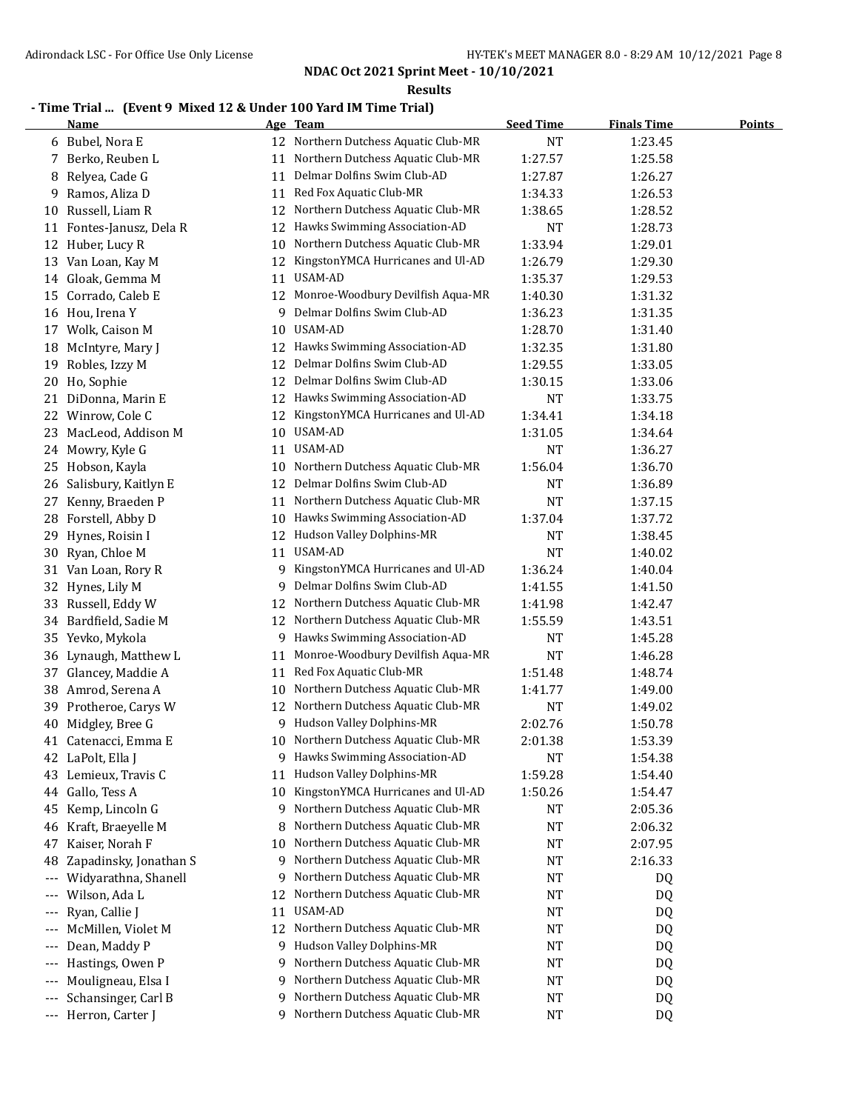**Results**

## **- Time Trial ... (Event 9 Mixed 12 & Under 100 Yard IM Time Trial)**

|                   | <b>Name</b>              |    | Age Team                             | <b>Seed Time</b> | <b>Finals Time</b> | <b>Points</b> |
|-------------------|--------------------------|----|--------------------------------------|------------------|--------------------|---------------|
| 6                 | Bubel, Nora E            |    | 12 Northern Dutchess Aquatic Club-MR | <b>NT</b>        | 1:23.45            |               |
| 7                 | Berko, Reuben L          | 11 | Northern Dutchess Aquatic Club-MR    | 1:27.57          | 1:25.58            |               |
| 8                 | Relyea, Cade G           | 11 | Delmar Dolfins Swim Club-AD          | 1:27.87          | 1:26.27            |               |
| 9                 | Ramos, Aliza D           | 11 | Red Fox Aquatic Club-MR              | 1:34.33          | 1:26.53            |               |
| 10                | Russell, Liam R          | 12 | Northern Dutchess Aquatic Club-MR    | 1:38.65          | 1:28.52            |               |
|                   | 11 Fontes-Janusz, Dela R | 12 | Hawks Swimming Association-AD        | <b>NT</b>        | 1:28.73            |               |
| 12                | Huber, Lucy R            | 10 | Northern Dutchess Aquatic Club-MR    | 1:33.94          | 1:29.01            |               |
| 13                | Van Loan, Kay M          | 12 | KingstonYMCA Hurricanes and Ul-AD    | 1:26.79          | 1:29.30            |               |
|                   | 14 Gloak, Gemma M        | 11 | USAM-AD                              | 1:35.37          | 1:29.53            |               |
| 15                | Corrado, Caleb E         | 12 | Monroe-Woodbury Devilfish Aqua-MR    | 1:40.30          | 1:31.32            |               |
|                   | 16 Hou, Irena Y          | 9  | Delmar Dolfins Swim Club-AD          | 1:36.23          | 1:31.35            |               |
|                   | 17 Wolk, Caison M        | 10 | USAM-AD                              | 1:28.70          | 1:31.40            |               |
| 18                | McIntyre, Mary J         |    | 12 Hawks Swimming Association-AD     | 1:32.35          | 1:31.80            |               |
| 19                | Robles, Izzy M           | 12 | Delmar Dolfins Swim Club-AD          | 1:29.55          | 1:33.05            |               |
| 20                | Ho, Sophie               | 12 | Delmar Dolfins Swim Club-AD          | 1:30.15          | 1:33.06            |               |
| 21                | DiDonna, Marin E         |    | 12 Hawks Swimming Association-AD     | NT               | 1:33.75            |               |
| 22                | Winrow, Cole C           |    | 12 KingstonYMCA Hurricanes and Ul-AD | 1:34.41          | 1:34.18            |               |
| 23                | MacLeod, Addison M       | 10 | USAM-AD                              | 1:31.05          | 1:34.64            |               |
| 24                | Mowry, Kyle G            | 11 | USAM-AD                              | <b>NT</b>        | 1:36.27            |               |
| 25                | Hobson, Kayla            | 10 | Northern Dutchess Aquatic Club-MR    | 1:56.04          | 1:36.70            |               |
| 26                | Salisbury, Kaitlyn E     | 12 | Delmar Dolfins Swim Club-AD          | NT               | 1:36.89            |               |
| 27                | Kenny, Braeden P         | 11 | Northern Dutchess Aquatic Club-MR    | <b>NT</b>        | 1:37.15            |               |
| 28                | Forstell, Abby D         | 10 | Hawks Swimming Association-AD        | 1:37.04          | 1:37.72            |               |
| 29                | Hynes, Roisin I          |    | 12 Hudson Valley Dolphins-MR         | NT               | 1:38.45            |               |
|                   | 30 Ryan, Chloe M         |    | 11 USAM-AD                           | <b>NT</b>        | 1:40.02            |               |
|                   |                          | 9  | KingstonYMCA Hurricanes and Ul-AD    |                  |                    |               |
|                   | 31 Van Loan, Rory R      | 9  | Delmar Dolfins Swim Club-AD          | 1:36.24          | 1:40.04            |               |
|                   | 32 Hynes, Lily M         |    | Northern Dutchess Aquatic Club-MR    | 1:41.55          | 1:41.50            |               |
| 33                | Russell, Eddy W          | 12 |                                      | 1:41.98          | 1:42.47            |               |
|                   | 34 Bardfield, Sadie M    |    | 12 Northern Dutchess Aquatic Club-MR | 1:55.59          | 1:43.51            |               |
| 35                | Yevko, Mykola            | 9  | Hawks Swimming Association-AD        | NT               | 1:45.28            |               |
| 36                | Lynaugh, Matthew L       | 11 | Monroe-Woodbury Devilfish Aqua-MR    | <b>NT</b>        | 1:46.28            |               |
| 37                | Glancey, Maddie A        | 11 | Red Fox Aquatic Club-MR              | 1:51.48          | 1:48.74            |               |
| 38                | Amrod, Serena A          | 10 | Northern Dutchess Aquatic Club-MR    | 1:41.77          | 1:49.00            |               |
| 39                | Protheroe, Carys W       | 12 | Northern Dutchess Aquatic Club-MR    | NT               | 1:49.02            |               |
| 40                | Midgley, Bree G          | 9  | Hudson Valley Dolphins-MR            | 2:02.76          | 1:50.78            |               |
| 41                | Catenacci, Emma E        |    | 10 Northern Dutchess Aquatic Club-MR | 2:01.38          | 1:53.39            |               |
|                   | 42 LaPolt, Ella J        | 9. | Hawks Swimming Association-AD        | <b>NT</b>        | 1:54.38            |               |
| 43                | Lemieux, Travis C        | 11 | Hudson Valley Dolphins-MR            | 1:59.28          | 1:54.40            |               |
| 44                | Gallo, Tess A            | 10 | KingstonYMCA Hurricanes and Ul-AD    | 1:50.26          | 1:54.47            |               |
| 45                | Kemp, Lincoln G          | 9  | Northern Dutchess Aquatic Club-MR    | NT               | 2:05.36            |               |
| 46                | Kraft, Braeyelle M       | 8  | Northern Dutchess Aquatic Club-MR    | <b>NT</b>        | 2:06.32            |               |
| 47                | Kaiser, Norah F          | 10 | Northern Dutchess Aquatic Club-MR    | NT               | 2:07.95            |               |
| 48                | Zapadinsky, Jonathan S   | 9  | Northern Dutchess Aquatic Club-MR    | <b>NT</b>        | 2:16.33            |               |
| ---               | Widyarathna, Shanell     | 9  | Northern Dutchess Aquatic Club-MR    | <b>NT</b>        | DQ                 |               |
| ---               | Wilson, Ada L            | 12 | Northern Dutchess Aquatic Club-MR    | <b>NT</b>        | DQ                 |               |
| ---               | Ryan, Callie J           | 11 | USAM-AD                              | <b>NT</b>        | DQ                 |               |
| ---               | McMillen, Violet M       | 12 | Northern Dutchess Aquatic Club-MR    | NT               | DQ                 |               |
| $---$             | Dean, Maddy P            | 9  | Hudson Valley Dolphins-MR            | NT               | DQ                 |               |
| $---$             | Hastings, Owen P         | 9  | Northern Dutchess Aquatic Club-MR    | NT               | DQ                 |               |
| $---$             | Mouligneau, Elsa I       | 9  | Northern Dutchess Aquatic Club-MR    | NT               | DQ                 |               |
| $\qquad \qquad -$ | Schansinger, Carl B      | 9  | Northern Dutchess Aquatic Club-MR    | <b>NT</b>        | DQ                 |               |
|                   | --- Herron, Carter J     |    | 9 Northern Dutchess Aquatic Club-MR  | <b>NT</b>        | DQ                 |               |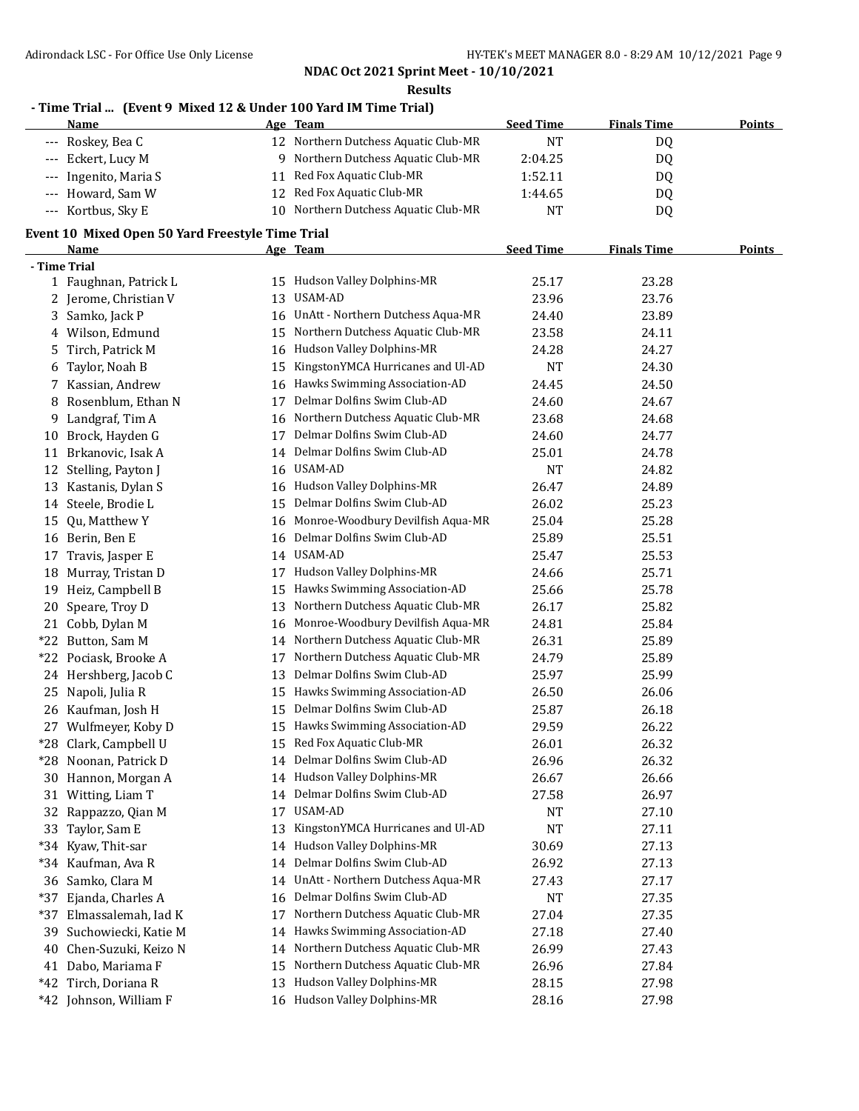**Results**

### **- Time Trial ... (Event 9 Mixed 12 & Under 100 Yard IM Time Trial)**

| Name                  | Age Team                             | <b>Seed Time</b> | <b>Finals Time</b> | <b>Points</b> |
|-----------------------|--------------------------------------|------------------|--------------------|---------------|
| --- Roskey, Bea C     | 12 Northern Dutchess Aquatic Club-MR | ΝT               | DQ                 |               |
| --- Eckert, Lucy M    | Northern Dutchess Aquatic Club-MR    | 2:04.25          | DO                 |               |
| --- Ingenito, Maria S | 11 Red Fox Aquatic Club-MR           | 1:52.11          | DQ                 |               |
| --- Howard, Sam W     | 12 Red Fox Aquatic Club-MR           | 1:44.65          | D0                 |               |
| --- Kortbus, Sky E    | 10 Northern Dutchess Aquatic Club-MR | NT               | D <sub>0</sub>     |               |

#### **Event 10 Mixed Open 50 Yard Freestyle Time Trial**

|              | <b>Name</b>             |    | Age Team                             | <b>Seed Time</b> | <b>Finals Time</b> | <b>Points</b> |
|--------------|-------------------------|----|--------------------------------------|------------------|--------------------|---------------|
| - Time Trial |                         |    |                                      |                  |                    |               |
|              | 1 Faughnan, Patrick L   |    | 15 Hudson Valley Dolphins-MR         | 25.17            | 23.28              |               |
|              | 2 Jerome, Christian V   | 13 | USAM-AD                              | 23.96            | 23.76              |               |
| 3            | Samko, Jack P           |    | 16 UnAtt - Northern Dutchess Aqua-MR | 24.40            | 23.89              |               |
|              | 4 Wilson, Edmund        | 15 | Northern Dutchess Aquatic Club-MR    | 23.58            | 24.11              |               |
| 5            | Tirch, Patrick M        |    | 16 Hudson Valley Dolphins-MR         | 24.28            | 24.27              |               |
| 6            | Taylor, Noah B          | 15 | KingstonYMCA Hurricanes and Ul-AD    | <b>NT</b>        | 24.30              |               |
| 7            | Kassian, Andrew         | 16 | Hawks Swimming Association-AD        | 24.45            | 24.50              |               |
| 8            | Rosenblum, Ethan N      | 17 | Delmar Dolfins Swim Club-AD          | 24.60            | 24.67              |               |
| 9            | Landgraf, Tim A         | 16 | Northern Dutchess Aquatic Club-MR    | 23.68            | 24.68              |               |
| 10           | Brock, Hayden G         | 17 | Delmar Dolfins Swim Club-AD          | 24.60            | 24.77              |               |
| 11           | Brkanovic, Isak A       | 14 | Delmar Dolfins Swim Club-AD          | 25.01            | 24.78              |               |
|              | 12 Stelling, Payton J   | 16 | USAM-AD                              | <b>NT</b>        | 24.82              |               |
| 13           | Kastanis, Dylan S       | 16 | Hudson Valley Dolphins-MR            | 26.47            | 24.89              |               |
|              | 14 Steele, Brodie L     | 15 | Delmar Dolfins Swim Club-AD          | 26.02            | 25.23              |               |
| 15           | Qu, Matthew Y           | 16 | Monroe-Woodbury Devilfish Aqua-MR    | 25.04            | 25.28              |               |
|              | 16 Berin, Ben E         | 16 | Delmar Dolfins Swim Club-AD          | 25.89            | 25.51              |               |
| 17           | Travis, Jasper E        | 14 | <b>USAM-AD</b>                       | 25.47            | 25.53              |               |
| 18           | Murray, Tristan D       | 17 | Hudson Valley Dolphins-MR            | 24.66            | 25.71              |               |
| 19           | Heiz, Campbell B        | 15 | Hawks Swimming Association-AD        | 25.66            | 25.78              |               |
| 20           | Speare, Troy D          | 13 | Northern Dutchess Aquatic Club-MR    | 26.17            | 25.82              |               |
| 21           | Cobb, Dylan M           | 16 | Monroe-Woodbury Devilfish Aqua-MR    | 24.81            | 25.84              |               |
|              | *22 Button, Sam M       | 14 | Northern Dutchess Aquatic Club-MR    | 26.31            | 25.89              |               |
|              | *22 Pociask, Brooke A   | 17 | Northern Dutchess Aquatic Club-MR    | 24.79            | 25.89              |               |
|              | 24 Hershberg, Jacob C   | 13 | Delmar Dolfins Swim Club-AD          | 25.97            | 25.99              |               |
| 25           | Napoli, Julia R         | 15 | Hawks Swimming Association-AD        | 26.50            | 26.06              |               |
|              | 26 Kaufman, Josh H      | 15 | Delmar Dolfins Swim Club-AD          | 25.87            | 26.18              |               |
| 27           | Wulfmeyer, Koby D       | 15 | Hawks Swimming Association-AD        | 29.59            | 26.22              |               |
|              | *28 Clark, Campbell U   | 15 | Red Fox Aquatic Club-MR              | 26.01            | 26.32              |               |
|              | *28 Noonan, Patrick D   | 14 | Delmar Dolfins Swim Club-AD          | 26.96            | 26.32              |               |
|              | 30 Hannon, Morgan A     | 14 | Hudson Valley Dolphins-MR            | 26.67            | 26.66              |               |
|              | 31 Witting, Liam T      | 14 | Delmar Dolfins Swim Club-AD          | 27.58            | 26.97              |               |
| 32           | Rappazzo, Qian M        | 17 | USAM-AD                              | NT               | 27.10              |               |
|              | 33 Taylor, Sam E        | 13 | KingstonYMCA Hurricanes and Ul-AD    | <b>NT</b>        | 27.11              |               |
|              | *34 Kyaw, Thit-sar      |    | 14 Hudson Valley Dolphins-MR         | 30.69            | 27.13              |               |
|              | *34 Kaufman, Ava R      |    | 14 Delmar Dolfins Swim Club-AD       | 26.92            | 27.13              |               |
|              | 36 Samko, Clara M       |    | 14 UnAtt - Northern Dutchess Aqua-MR | 27.43            | 27.17              |               |
| *37          | Ejanda, Charles A       |    | 16 Delmar Dolfins Swim Club-AD       | NT               | 27.35              |               |
|              | *37 Elmassalemah, Iad K | 17 | Northern Dutchess Aquatic Club-MR    | 27.04            | 27.35              |               |
| 39           | Suchowiecki, Katie M    | 14 | Hawks Swimming Association-AD        | 27.18            | 27.40              |               |
| 40           | Chen-Suzuki, Keizo N    | 14 | Northern Dutchess Aquatic Club-MR    | 26.99            | 27.43              |               |
| 41           | Dabo, Mariama F         | 15 | Northern Dutchess Aquatic Club-MR    | 26.96            | 27.84              |               |
|              | *42 Tirch, Doriana R    | 13 | Hudson Valley Dolphins-MR            | 28.15            | 27.98              |               |
|              | *42 Johnson, William F  |    | 16 Hudson Valley Dolphins-MR         | 28.16            | 27.98              |               |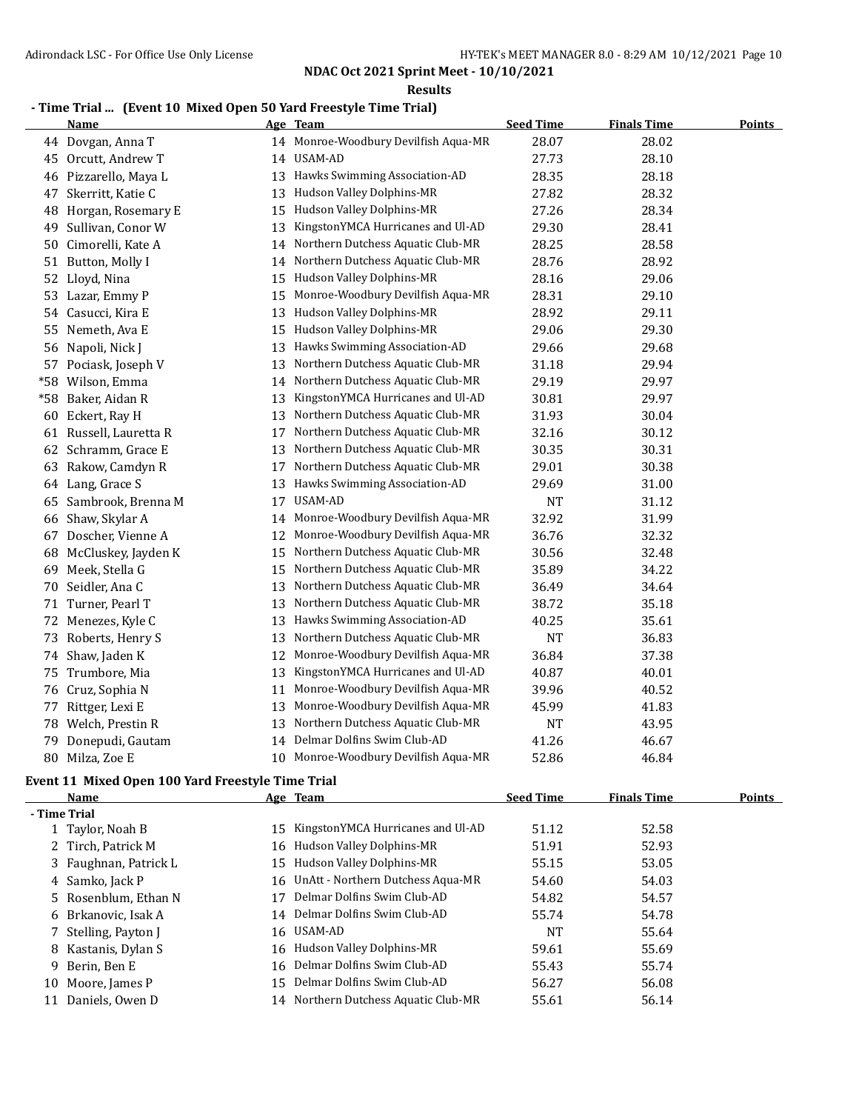**Results**

#### **- Time Trial ... (Event 10 Mixed Open 50 Yard Freestyle Time Trial)**

| Name                    |                  |                                   | <b>Seed Time</b>                                                                                                                                                                                                                                                                                                     | <b>Finals Time</b> | <b>Points</b> |
|-------------------------|------------------|-----------------------------------|----------------------------------------------------------------------------------------------------------------------------------------------------------------------------------------------------------------------------------------------------------------------------------------------------------------------|--------------------|---------------|
| 44 Dovgan, Anna T       |                  |                                   | 28.07                                                                                                                                                                                                                                                                                                                | 28.02              |               |
| 45 Orcutt, Andrew T     |                  |                                   | 27.73                                                                                                                                                                                                                                                                                                                | 28.10              |               |
| Pizzarello, Maya L      | 13               |                                   | 28.35                                                                                                                                                                                                                                                                                                                | 28.18              |               |
| Skerritt, Katie C       |                  |                                   | 27.82                                                                                                                                                                                                                                                                                                                | 28.32              |               |
| Horgan, Rosemary E      |                  |                                   | 27.26                                                                                                                                                                                                                                                                                                                | 28.34              |               |
| Sullivan, Conor W       | 13               | KingstonYMCA Hurricanes and Ul-AD | 29.30                                                                                                                                                                                                                                                                                                                | 28.41              |               |
| Cimorelli, Kate A       |                  | Northern Dutchess Aquatic Club-MR | 28.25                                                                                                                                                                                                                                                                                                                | 28.58              |               |
| Button, Molly I         |                  |                                   | 28.76                                                                                                                                                                                                                                                                                                                | 28.92              |               |
| Lloyd, Nina             | 15               |                                   | 28.16                                                                                                                                                                                                                                                                                                                | 29.06              |               |
| Lazar, Emmy P           | 15               | Monroe-Woodbury Devilfish Aqua-MR | 28.31                                                                                                                                                                                                                                                                                                                | 29.10              |               |
| Casucci, Kira E         | 13               | Hudson Valley Dolphins-MR         | 28.92                                                                                                                                                                                                                                                                                                                | 29.11              |               |
| Nemeth, Ava E           | 15               | Hudson Valley Dolphins-MR         | 29.06                                                                                                                                                                                                                                                                                                                | 29.30              |               |
| 56 Napoli, Nick J       | 13               | Hawks Swimming Association-AD     | 29.66                                                                                                                                                                                                                                                                                                                | 29.68              |               |
| 57 Pociask, Joseph V    | 13               | Northern Dutchess Aquatic Club-MR | 31.18                                                                                                                                                                                                                                                                                                                | 29.94              |               |
| *58 Wilson, Emma        | 14               | Northern Dutchess Aquatic Club-MR | 29.19                                                                                                                                                                                                                                                                                                                | 29.97              |               |
| Baker, Aidan R          | 13               | KingstonYMCA Hurricanes and Ul-AD | 30.81                                                                                                                                                                                                                                                                                                                | 29.97              |               |
| Eckert, Ray H           | 13               | Northern Dutchess Aquatic Club-MR | 31.93                                                                                                                                                                                                                                                                                                                | 30.04              |               |
| 61 Russell, Lauretta R  | 17               | Northern Dutchess Aquatic Club-MR | 32.16                                                                                                                                                                                                                                                                                                                | 30.12              |               |
| Schramm, Grace E        | 13               | Northern Dutchess Aquatic Club-MR | 30.35                                                                                                                                                                                                                                                                                                                | 30.31              |               |
| Rakow, Camdyn R         | 17               | Northern Dutchess Aquatic Club-MR | 29.01                                                                                                                                                                                                                                                                                                                | 30.38              |               |
|                         | 13               | Hawks Swimming Association-AD     | 29.69                                                                                                                                                                                                                                                                                                                | 31.00              |               |
| Sambrook, Brenna M      | 17               | USAM-AD                           | <b>NT</b>                                                                                                                                                                                                                                                                                                            | 31.12              |               |
| Shaw, Skylar A          | 14               | Monroe-Woodbury Devilfish Aqua-MR | 32.92                                                                                                                                                                                                                                                                                                                | 31.99              |               |
| Doscher, Vienne A<br>67 | 12               | Monroe-Woodbury Devilfish Aqua-MR | 36.76                                                                                                                                                                                                                                                                                                                | 32.32              |               |
| McCluskey, Jayden K     | 15               | Northern Dutchess Aquatic Club-MR | 30.56                                                                                                                                                                                                                                                                                                                | 32.48              |               |
| Meek, Stella G          | 15               | Northern Dutchess Aquatic Club-MR | 35.89                                                                                                                                                                                                                                                                                                                | 34.22              |               |
| Seidler, Ana C          | 13               | Northern Dutchess Aquatic Club-MR | 36.49                                                                                                                                                                                                                                                                                                                | 34.64              |               |
| Turner, Pearl T         | 13               | Northern Dutchess Aquatic Club-MR | 38.72                                                                                                                                                                                                                                                                                                                | 35.18              |               |
| Menezes, Kyle C         | 13               | Hawks Swimming Association-AD     | 40.25                                                                                                                                                                                                                                                                                                                | 35.61              |               |
| Roberts, Henry S        | 13               | Northern Dutchess Aquatic Club-MR | <b>NT</b>                                                                                                                                                                                                                                                                                                            | 36.83              |               |
| 74 Shaw, Jaden K        | 12               | Monroe-Woodbury Devilfish Aqua-MR | 36.84                                                                                                                                                                                                                                                                                                                | 37.38              |               |
| 75 Trumbore, Mia        | 13               | KingstonYMCA Hurricanes and Ul-AD | 40.87                                                                                                                                                                                                                                                                                                                | 40.01              |               |
| 76 Cruz, Sophia N       | 11               | Monroe-Woodbury Devilfish Aqua-MR | 39.96                                                                                                                                                                                                                                                                                                                | 40.52              |               |
| 77 Rittger, Lexi E      | 13               | Monroe-Woodbury Devilfish Aqua-MR | 45.99                                                                                                                                                                                                                                                                                                                | 41.83              |               |
| 78 Welch, Prestin R     | 13               | Northern Dutchess Aquatic Club-MR | <b>NT</b>                                                                                                                                                                                                                                                                                                            | 43.95              |               |
| Donepudi, Gautam        |                  |                                   | 41.26                                                                                                                                                                                                                                                                                                                | 46.67              |               |
| Milza, Zoe E            |                  |                                   | 52.86                                                                                                                                                                                                                                                                                                                | 46.84              |               |
|                         | 64 Lang, Grace S |                                   | Age Team<br>14 Monroe-Woodbury Devilfish Aqua-MR<br>14 USAM-AD<br>Hawks Swimming Association-AD<br>13 Hudson Valley Dolphins-MR<br>15 Hudson Valley Dolphins-MR<br>14<br>14 Northern Dutchess Aquatic Club-MR<br>Hudson Valley Dolphins-MR<br>14 Delmar Dolfins Swim Club-AD<br>10 Monroe-Woodbury Devilfish Aqua-MR |                    |               |

## **Event 11 Mixed Open 100 Yard Freestyle Time Trial**

|              | Name                  |    | Age Team                             | <b>Seed Time</b> | <b>Finals Time</b> | <b>Points</b> |
|--------------|-----------------------|----|--------------------------------------|------------------|--------------------|---------------|
| - Time Trial |                       |    |                                      |                  |                    |               |
|              | 1 Taylor, Noah B      | 15 | KingstonYMCA Hurricanes and Ul-AD    | 51.12            | 52.58              |               |
|              | 2 Tirch, Patrick M    |    | 16 Hudson Valley Dolphins-MR         | 51.91            | 52.93              |               |
|              | 3 Faughnan, Patrick L |    | 15 Hudson Valley Dolphins-MR         | 55.15            | 53.05              |               |
|              | 4 Samko, Jack P       |    | 16 UnAtt - Northern Dutchess Agua-MR | 54.60            | 54.03              |               |
|              | 5 Rosenblum, Ethan N  | 17 | Delmar Dolfins Swim Club-AD          | 54.82            | 54.57              |               |
|              | 6 Brkanovic, Isak A   |    | 14 Delmar Dolfins Swim Club-AD       | 55.74            | 54.78              |               |
|              | 7 Stelling, Payton J  |    | 16 USAM-AD                           | NT               | 55.64              |               |
|              | 8 Kastanis, Dylan S   |    | 16 Hudson Valley Dolphins-MR         | 59.61            | 55.69              |               |
|              | 9 Berin, Ben E        |    | 16 Delmar Dolfins Swim Club-AD       | 55.43            | 55.74              |               |
|              | 10 Moore, James P     |    | 15 Delmar Dolfins Swim Club-AD       | 56.27            | 56.08              |               |
| 11           | Daniels, Owen D       |    | 14 Northern Dutchess Aquatic Club-MR | 55.61            | 56.14              |               |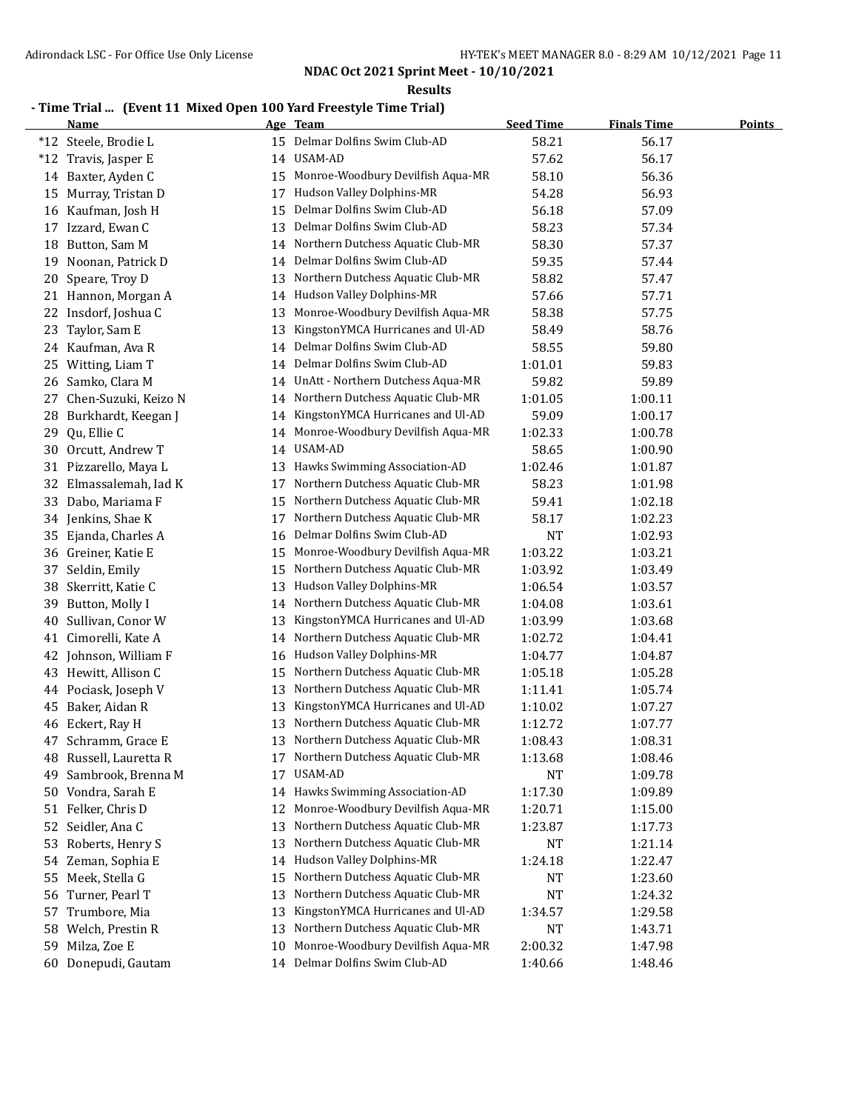**Results**

## **- Time Trial ... (Event 11 Mixed Open 100 Yard Freestyle Time Trial)**

|    | <b>Name</b>            |    | Age Team                          | <b>Seed Time</b> | <b>Finals Time</b> | <b>Points</b> |
|----|------------------------|----|-----------------------------------|------------------|--------------------|---------------|
|    | *12 Steele, Brodie L   |    | 15 Delmar Dolfins Swim Club-AD    | 58.21            | 56.17              |               |
|    | *12 Travis, Jasper E   |    | 14 USAM-AD                        | 57.62            | 56.17              |               |
|    | 14 Baxter, Ayden C     | 15 | Monroe-Woodbury Devilfish Aqua-MR | 58.10            | 56.36              |               |
| 15 | Murray, Tristan D      | 17 | Hudson Valley Dolphins-MR         | 54.28            | 56.93              |               |
|    | 16 Kaufman, Josh H     | 15 | Delmar Dolfins Swim Club-AD       | 56.18            | 57.09              |               |
| 17 | Izzard, Ewan C         | 13 | Delmar Dolfins Swim Club-AD       | 58.23            | 57.34              |               |
| 18 | Button, Sam M          | 14 | Northern Dutchess Aquatic Club-MR | 58.30            | 57.37              |               |
| 19 | Noonan, Patrick D      | 14 | Delmar Dolfins Swim Club-AD       | 59.35            | 57.44              |               |
| 20 | Speare, Troy D         | 13 | Northern Dutchess Aquatic Club-MR | 58.82            | 57.47              |               |
|    | 21 Hannon, Morgan A    | 14 | Hudson Valley Dolphins-MR         | 57.66            | 57.71              |               |
| 22 | Insdorf, Joshua C      | 13 | Monroe-Woodbury Devilfish Aqua-MR | 58.38            | 57.75              |               |
| 23 | Taylor, Sam E          | 13 | KingstonYMCA Hurricanes and Ul-AD | 58.49            | 58.76              |               |
|    | 24 Kaufman, Ava R      | 14 | Delmar Dolfins Swim Club-AD       | 58.55            | 59.80              |               |
| 25 | Witting, Liam T        | 14 | Delmar Dolfins Swim Club-AD       | 1:01.01          | 59.83              |               |
| 26 | Samko, Clara M         | 14 | UnAtt - Northern Dutchess Aqua-MR | 59.82            | 59.89              |               |
| 27 | Chen-Suzuki, Keizo N   | 14 | Northern Dutchess Aquatic Club-MR | 1:01.05          | 1:00.11            |               |
| 28 | Burkhardt, Keegan J    | 14 | KingstonYMCA Hurricanes and Ul-AD | 59.09            | 1:00.17            |               |
| 29 | Qu, Ellie C            | 14 | Monroe-Woodbury Devilfish Aqua-MR | 1:02.33          | 1:00.78            |               |
| 30 | Orcutt, Andrew T       | 14 | USAM-AD                           | 58.65            | 1:00.90            |               |
|    | 31 Pizzarello, Maya L  | 13 | Hawks Swimming Association-AD     | 1:02.46          | 1:01.87            |               |
| 32 | Elmassalemah, Iad K    | 17 | Northern Dutchess Aquatic Club-MR | 58.23            | 1:01.98            |               |
| 33 | Dabo, Mariama F        | 15 | Northern Dutchess Aquatic Club-MR | 59.41            | 1:02.18            |               |
|    | 34 Jenkins, Shae K     | 17 | Northern Dutchess Aquatic Club-MR | 58.17            | 1:02.23            |               |
| 35 | Ejanda, Charles A      | 16 | Delmar Dolfins Swim Club-AD       | <b>NT</b>        | 1:02.93            |               |
| 36 | Greiner, Katie E       | 15 | Monroe-Woodbury Devilfish Aqua-MR | 1:03.22          | 1:03.21            |               |
| 37 | Seldin, Emily          | 15 | Northern Dutchess Aquatic Club-MR | 1:03.92          | 1:03.49            |               |
| 38 | Skerritt, Katie C      | 13 | Hudson Valley Dolphins-MR         | 1:06.54          | 1:03.57            |               |
| 39 | Button, Molly I        | 14 | Northern Dutchess Aquatic Club-MR | 1:04.08          | 1:03.61            |               |
| 40 | Sullivan, Conor W      | 13 | KingstonYMCA Hurricanes and Ul-AD | 1:03.99          | 1:03.68            |               |
| 41 | Cimorelli, Kate A      | 14 | Northern Dutchess Aquatic Club-MR | 1:02.72          | 1:04.41            |               |
| 42 | Johnson, William F     | 16 | Hudson Valley Dolphins-MR         | 1:04.77          | 1:04.87            |               |
| 43 | Hewitt, Allison C      | 15 | Northern Dutchess Aquatic Club-MR | 1:05.18          | 1:05.28            |               |
| 44 | Pociask, Joseph V      | 13 | Northern Dutchess Aquatic Club-MR | 1:11.41          | 1:05.74            |               |
| 45 | Baker, Aidan R         | 13 | KingstonYMCA Hurricanes and Ul-AD | 1:10.02          | 1:07.27            |               |
|    | 46 Eckert, Ray H       | 13 | Northern Dutchess Aquatic Club-MR | 1:12.72          | 1:07.77            |               |
| 47 | Schramm, Grace E       | 13 | Northern Dutchess Aquatic Club-MR | 1:08.43          | 1:08.31            |               |
|    | 48 Russell, Lauretta R | 17 | Northern Dutchess Aquatic Club-MR | 1:13.68          | 1:08.46            |               |
| 49 | Sambrook, Brenna M     | 17 | USAM-AD                           | NT               | 1:09.78            |               |
|    | 50 Vondra, Sarah E     | 14 | Hawks Swimming Association-AD     | 1:17.30          | 1:09.89            |               |
|    | 51 Felker, Chris D     | 12 | Monroe-Woodbury Devilfish Aqua-MR | 1:20.71          | 1:15.00            |               |
|    | 52 Seidler, Ana C      | 13 | Northern Dutchess Aquatic Club-MR | 1:23.87          | 1:17.73            |               |
| 53 | Roberts, Henry S       | 13 | Northern Dutchess Aquatic Club-MR | <b>NT</b>        | 1:21.14            |               |
| 54 | Zeman, Sophia E        | 14 | Hudson Valley Dolphins-MR         | 1:24.18          | 1:22.47            |               |
| 55 | Meek, Stella G         | 15 | Northern Dutchess Aquatic Club-MR | NT               | 1:23.60            |               |
| 56 | Turner, Pearl T        | 13 | Northern Dutchess Aquatic Club-MR | <b>NT</b>        | 1:24.32            |               |
| 57 | Trumbore, Mia          | 13 | KingstonYMCA Hurricanes and Ul-AD | 1:34.57          | 1:29.58            |               |
| 58 | Welch, Prestin R       | 13 | Northern Dutchess Aquatic Club-MR | NT               | 1:43.71            |               |
| 59 | Milza, Zoe E           | 10 | Monroe-Woodbury Devilfish Aqua-MR | 2:00.32          | 1:47.98            |               |
| 60 | Donepudi, Gautam       |    | 14 Delmar Dolfins Swim Club-AD    | 1:40.66          | 1:48.46            |               |
|    |                        |    |                                   |                  |                    |               |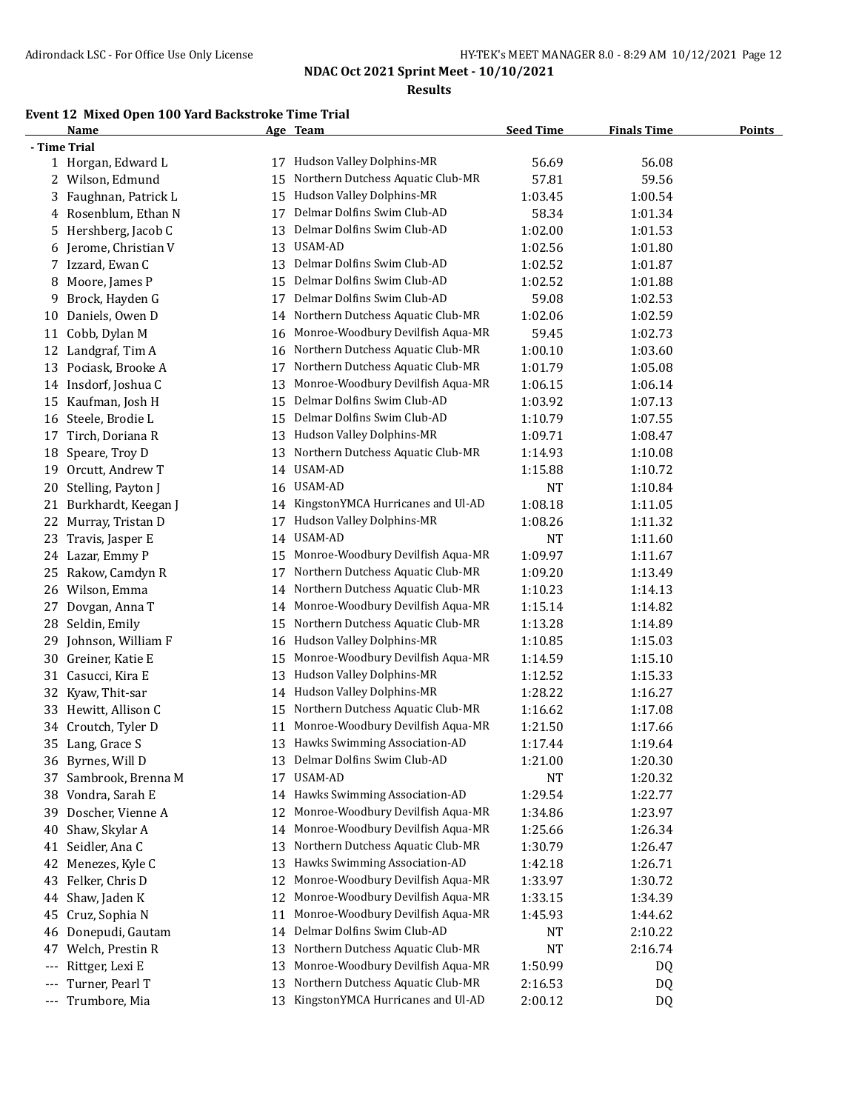**Results**

## **Event 12 Mixed Open 100 Yard Backstroke Time Trial**

|     | <b>Name</b>           |    | Age Team                                                         | <b>Seed Time</b> | <b>Finals Time</b> | <b>Points</b> |
|-----|-----------------------|----|------------------------------------------------------------------|------------------|--------------------|---------------|
|     | - Time Trial          |    |                                                                  |                  |                    |               |
|     | 1 Horgan, Edward L    |    | 17 Hudson Valley Dolphins-MR                                     | 56.69            | 56.08              |               |
|     | 2 Wilson, Edmund      | 15 | Northern Dutchess Aquatic Club-MR                                | 57.81            | 59.56              |               |
| 3   | Faughnan, Patrick L   | 15 | Hudson Valley Dolphins-MR                                        | 1:03.45          | 1:00.54            |               |
|     | 4 Rosenblum, Ethan N  | 17 | Delmar Dolfins Swim Club-AD                                      | 58.34            | 1:01.34            |               |
| 5   | Hershberg, Jacob C    | 13 | Delmar Dolfins Swim Club-AD                                      | 1:02.00          | 1:01.53            |               |
| 6   | Jerome, Christian V   | 13 | USAM-AD                                                          | 1:02.56          | 1:01.80            |               |
|     | 7 Izzard, Ewan C      | 13 | Delmar Dolfins Swim Club-AD                                      | 1:02.52          | 1:01.87            |               |
| 8   | Moore, James P        | 15 | Delmar Dolfins Swim Club-AD                                      | 1:02.52          | 1:01.88            |               |
| 9   | Brock, Hayden G       | 17 | Delmar Dolfins Swim Club-AD                                      | 59.08            | 1:02.53            |               |
| 10  | Daniels, Owen D       | 14 | Northern Dutchess Aquatic Club-MR                                | 1:02.06          | 1:02.59            |               |
| 11  | Cobb, Dylan M         | 16 | Monroe-Woodbury Devilfish Aqua-MR                                | 59.45            | 1:02.73            |               |
|     | 12 Landgraf, Tim A    | 16 | Northern Dutchess Aquatic Club-MR                                | 1:00.10          | 1:03.60            |               |
|     | 13 Pociask, Brooke A  | 17 | Northern Dutchess Aquatic Club-MR                                | 1:01.79          | 1:05.08            |               |
|     | 14 Insdorf, Joshua C  | 13 | Monroe-Woodbury Devilfish Aqua-MR                                | 1:06.15          | 1:06.14            |               |
|     | 15 Kaufman, Josh H    | 15 | Delmar Dolfins Swim Club-AD                                      | 1:03.92          | 1:07.13            |               |
| 16  | Steele, Brodie L      | 15 | Delmar Dolfins Swim Club-AD                                      | 1:10.79          | 1:07.55            |               |
| 17  | Tirch, Doriana R      | 13 | Hudson Valley Dolphins-MR                                        | 1:09.71          | 1:08.47            |               |
| 18  | Speare, Troy D        | 13 | Northern Dutchess Aquatic Club-MR                                | 1:14.93          | 1:10.08            |               |
| 19  | Orcutt, Andrew T      | 14 | USAM-AD                                                          | 1:15.88          | 1:10.72            |               |
| 20  | Stelling, Payton J    | 16 | USAM-AD                                                          | <b>NT</b>        | 1:10.84            |               |
| 21  | Burkhardt, Keegan J   | 14 | KingstonYMCA Hurricanes and Ul-AD                                | 1:08.18          | 1:11.05            |               |
| 22  | Murray, Tristan D     | 17 | Hudson Valley Dolphins-MR                                        | 1:08.26          | 1:11.32            |               |
| 23  | Travis, Jasper E      | 14 | USAM-AD                                                          | <b>NT</b>        | 1:11.60            |               |
| 24  | Lazar, Emmy P         | 15 | Monroe-Woodbury Devilfish Aqua-MR                                | 1:09.97          | 1:11.67            |               |
| 25  | Rakow, Camdyn R       | 17 | Northern Dutchess Aquatic Club-MR                                | 1:09.20          | 1:13.49            |               |
| 26  | Wilson, Emma          | 14 | Northern Dutchess Aquatic Club-MR                                | 1:10.23          | 1:14.13            |               |
| 27  | Dovgan, Anna T        | 14 | Monroe-Woodbury Devilfish Aqua-MR                                | 1:15.14          | 1:14.82            |               |
| 28  | Seldin, Emily         | 15 | Northern Dutchess Aquatic Club-MR                                | 1:13.28          | 1:14.89            |               |
| 29  | Johnson, William F    | 16 | Hudson Valley Dolphins-MR                                        | 1:10.85          | 1:15.03            |               |
|     | 30 Greiner, Katie E   | 15 | Monroe-Woodbury Devilfish Aqua-MR                                | 1:14.59          | 1:15.10            |               |
|     | 31 Casucci, Kira E    | 13 | Hudson Valley Dolphins-MR                                        | 1:12.52          | 1:15.33            |               |
| 32  | Kyaw, Thit-sar        |    | 14 Hudson Valley Dolphins-MR                                     | 1:28.22          | 1:16.27            |               |
|     | 33 Hewitt, Allison C  | 15 | Northern Dutchess Aquatic Club-MR                                | 1:16.62          | 1:17.08            |               |
|     | 34 Croutch, Tyler D   | 11 | Monroe-Woodbury Devilfish Aqua-MR                                | 1:21.50          | 1:17.66            |               |
|     | 35 Lang, Grace S      |    | 13 Hawks Swimming Association-AD                                 | 1:17.44          | 1:19.64            |               |
|     | 36 Byrnes, Will D     | 13 | Delmar Dolfins Swim Club-AD                                      | 1:21.00          | 1:20.30            |               |
|     | 37 Sambrook, Brenna M | 17 | USAM-AD                                                          | NT               | 1:20.32            |               |
| 38  | Vondra, Sarah E       | 14 | Hawks Swimming Association-AD                                    | 1:29.54          | 1:22.77            |               |
| 39  | Doscher, Vienne A     | 12 | Monroe-Woodbury Devilfish Aqua-MR                                | 1:34.86          | 1:23.97            |               |
| 40  | Shaw, Skylar A        | 14 | Monroe-Woodbury Devilfish Aqua-MR                                | 1:25.66          | 1:26.34            |               |
| 41  | Seidler, Ana C        | 13 | Northern Dutchess Aquatic Club-MR                                | 1:30.79          | 1:26.47            |               |
|     | Menezes, Kyle C       | 13 | Hawks Swimming Association-AD                                    |                  |                    |               |
| 42  | Felker, Chris D       |    | Monroe-Woodbury Devilfish Aqua-MR                                | 1:42.18          | 1:26.71            |               |
| 43  | Shaw, Jaden K         | 12 | Monroe-Woodbury Devilfish Aqua-MR                                | 1:33.97          | 1:30.72            |               |
| 44  |                       | 12 |                                                                  | 1:33.15          | 1:34.39            |               |
| 45  | Cruz, Sophia N        | 11 | Monroe-Woodbury Devilfish Aqua-MR<br>Delmar Dolfins Swim Club-AD | 1:45.93          | 1:44.62            |               |
| 46  | Donepudi, Gautam      | 14 |                                                                  | NT               | 2:10.22            |               |
| 47  | Welch, Prestin R      | 13 | Northern Dutchess Aquatic Club-MR                                | <b>NT</b>        | 2:16.74            |               |
| --- | Rittger, Lexi E       | 13 | Monroe-Woodbury Devilfish Aqua-MR                                | 1:50.99          | DQ                 |               |
| --- | Turner, Pearl T       | 13 | Northern Dutchess Aquatic Club-MR                                | 2:16.53          | DQ                 |               |
| --- | Trumbore, Mia         | 13 | KingstonYMCA Hurricanes and Ul-AD                                | 2:00.12          | DQ                 |               |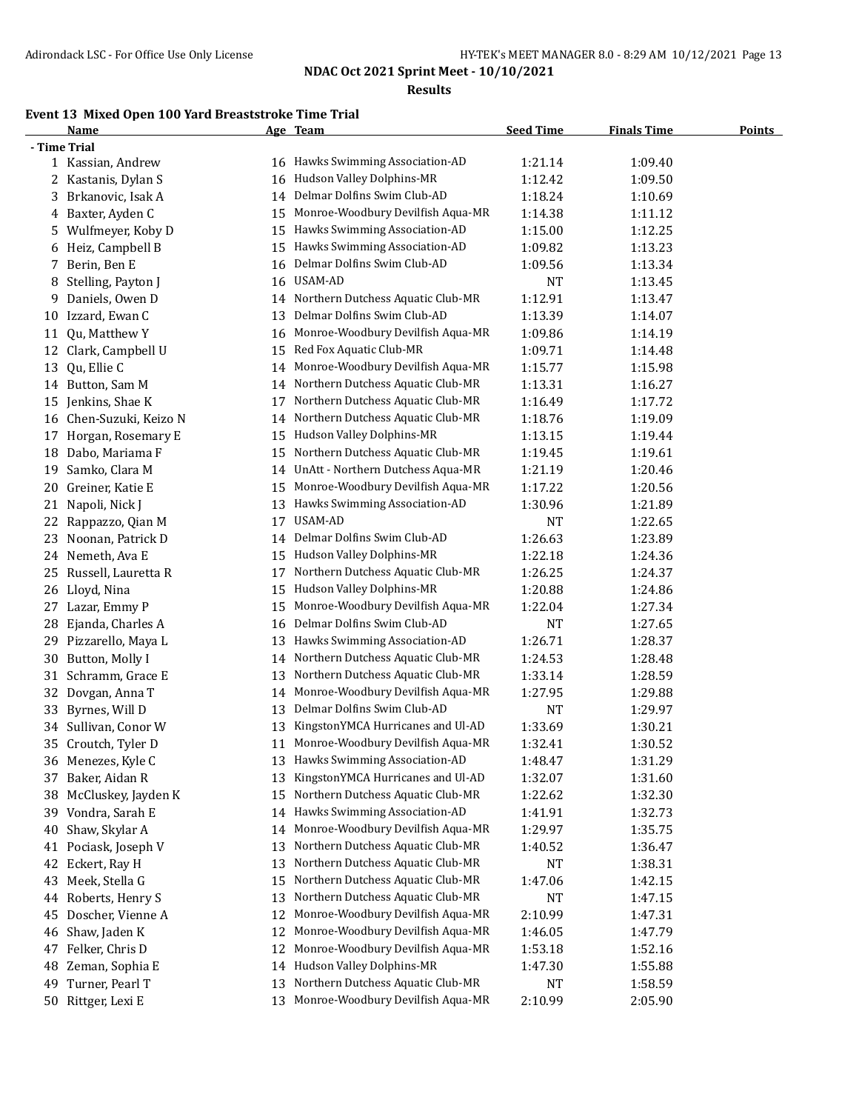**Results**

## **Event 13 Mixed Open 100 Yard Breaststroke Time Trial**

|    | <b>Name</b>             |    | Age Team                             | <b>Seed Time</b> | <b>Finals Time</b> | <b>Points</b> |
|----|-------------------------|----|--------------------------------------|------------------|--------------------|---------------|
|    | - Time Trial            |    |                                      |                  |                    |               |
|    | 1 Kassian, Andrew       |    | 16 Hawks Swimming Association-AD     | 1:21.14          | 1:09.40            |               |
|    | 2 Kastanis, Dylan S     |    | 16 Hudson Valley Dolphins-MR         | 1:12.42          | 1:09.50            |               |
| 3  | Brkanovic, Isak A       | 14 | Delmar Dolfins Swim Club-AD          | 1:18.24          | 1:10.69            |               |
|    | 4 Baxter, Ayden C       | 15 | Monroe-Woodbury Devilfish Aqua-MR    | 1:14.38          | 1:11.12            |               |
| 5. | Wulfmeyer, Koby D       | 15 | Hawks Swimming Association-AD        | 1:15.00          | 1:12.25            |               |
|    | 6 Heiz, Campbell B      | 15 | Hawks Swimming Association-AD        | 1:09.82          | 1:13.23            |               |
| 7. | Berin, Ben E            | 16 | Delmar Dolfins Swim Club-AD          | 1:09.56          | 1:13.34            |               |
| 8  | Stelling, Payton J      | 16 | USAM-AD                              | <b>NT</b>        | 1:13.45            |               |
| 9  | Daniels, Owen D         | 14 | Northern Dutchess Aquatic Club-MR    | 1:12.91          | 1:13.47            |               |
|    | 10 Izzard, Ewan C       | 13 | Delmar Dolfins Swim Club-AD          | 1:13.39          | 1:14.07            |               |
| 11 | Qu, Matthew Y           | 16 | Monroe-Woodbury Devilfish Aqua-MR    | 1:09.86          | 1:14.19            |               |
| 12 | Clark, Campbell U       | 15 | Red Fox Aquatic Club-MR              | 1:09.71          | 1:14.48            |               |
| 13 | Qu, Ellie C             | 14 | Monroe-Woodbury Devilfish Aqua-MR    | 1:15.77          | 1:15.98            |               |
|    | 14 Button, Sam M        | 14 | Northern Dutchess Aquatic Club-MR    | 1:13.31          | 1:16.27            |               |
|    | 15 Jenkins, Shae K      | 17 | Northern Dutchess Aquatic Club-MR    | 1:16.49          | 1:17.72            |               |
|    | 16 Chen-Suzuki, Keizo N | 14 | Northern Dutchess Aquatic Club-MR    | 1:18.76          | 1:19.09            |               |
|    | 17 Horgan, Rosemary E   | 15 | Hudson Valley Dolphins-MR            | 1:13.15          | 1:19.44            |               |
| 18 | Dabo, Mariama F         | 15 | Northern Dutchess Aquatic Club-MR    | 1:19.45          | 1:19.61            |               |
| 19 | Samko, Clara M          | 14 | UnAtt - Northern Dutchess Aqua-MR    | 1:21.19          | 1:20.46            |               |
| 20 | Greiner, Katie E        | 15 | Monroe-Woodbury Devilfish Aqua-MR    | 1:17.22          | 1:20.56            |               |
| 21 | Napoli, Nick J          | 13 | Hawks Swimming Association-AD        | 1:30.96          | 1:21.89            |               |
| 22 | Rappazzo, Qian M        | 17 | USAM-AD                              | <b>NT</b>        | 1:22.65            |               |
| 23 | Noonan, Patrick D       | 14 | Delmar Dolfins Swim Club-AD          | 1:26.63          | 1:23.89            |               |
|    | 24 Nemeth, Ava E        | 15 | Hudson Valley Dolphins-MR            | 1:22.18          | 1:24.36            |               |
|    | Russell, Lauretta R     |    | Northern Dutchess Aquatic Club-MR    | 1:26.25          |                    |               |
| 25 |                         | 17 | Hudson Valley Dolphins-MR            |                  | 1:24.37            |               |
| 26 | Lloyd, Nina             | 15 | Monroe-Woodbury Devilfish Aqua-MR    | 1:20.88          | 1:24.86            |               |
|    | 27 Lazar, Emmy P        | 15 | Delmar Dolfins Swim Club-AD          | 1:22.04          | 1:27.34            |               |
| 28 | Ejanda, Charles A       | 16 |                                      | <b>NT</b>        | 1:27.65            |               |
|    | 29 Pizzarello, Maya L   | 13 | Hawks Swimming Association-AD        | 1:26.71          | 1:28.37            |               |
| 30 | Button, Molly I         |    | 14 Northern Dutchess Aquatic Club-MR | 1:24.53          | 1:28.48            |               |
| 31 | Schramm, Grace E        | 13 | Northern Dutchess Aquatic Club-MR    | 1:33.14          | 1:28.59            |               |
| 32 | Dovgan, Anna T          | 14 | Monroe-Woodbury Devilfish Aqua-MR    | 1:27.95          | 1:29.88            |               |
| 33 | Byrnes, Will D          | 13 | Delmar Dolfins Swim Club-AD          | <b>NT</b>        | 1:29.97            |               |
|    | 34 Sullivan, Conor W    | 13 | KingstonYMCA Hurricanes and Ul-AD    | 1:33.69          | 1:30.21            |               |
|    | 35 Croutch, Tyler D     | 11 | Monroe-Woodbury Devilfish Aqua-MR    | 1:32.41          | 1:30.52            |               |
|    | 36 Menezes, Kyle C      | 13 | Hawks Swimming Association-AD        | 1:48.47          | 1:31.29            |               |
|    | 37 Baker, Aidan R       | 13 | KingstonYMCA Hurricanes and Ul-AD    | 1:32.07          | 1:31.60            |               |
| 38 | McCluskey, Jayden K     | 15 | Northern Dutchess Aquatic Club-MR    | 1:22.62          | 1:32.30            |               |
| 39 | Vondra, Sarah E         | 14 | Hawks Swimming Association-AD        | 1:41.91          | 1:32.73            |               |
| 40 | Shaw, Skylar A          | 14 | Monroe-Woodbury Devilfish Aqua-MR    | 1:29.97          | 1:35.75            |               |
| 41 | Pociask, Joseph V       | 13 | Northern Dutchess Aquatic Club-MR    | 1:40.52          | 1:36.47            |               |
| 42 | Eckert, Ray H           | 13 | Northern Dutchess Aquatic Club-MR    | NT               | 1:38.31            |               |
| 43 | Meek, Stella G          | 15 | Northern Dutchess Aquatic Club-MR    | 1:47.06          | 1:42.15            |               |
| 44 | Roberts, Henry S        | 13 | Northern Dutchess Aquatic Club-MR    | <b>NT</b>        | 1:47.15            |               |
| 45 | Doscher, Vienne A       | 12 | Monroe-Woodbury Devilfish Aqua-MR    | 2:10.99          | 1:47.31            |               |
| 46 | Shaw, Jaden K           | 12 | Monroe-Woodbury Devilfish Aqua-MR    | 1:46.05          | 1:47.79            |               |
| 47 | Felker, Chris D         | 12 | Monroe-Woodbury Devilfish Aqua-MR    | 1:53.18          | 1:52.16            |               |
| 48 | Zeman, Sophia E         | 14 | Hudson Valley Dolphins-MR            | 1:47.30          | 1:55.88            |               |
| 49 | Turner, Pearl T         | 13 | Northern Dutchess Aquatic Club-MR    | NT               | 1:58.59            |               |
|    | 50 Rittger, Lexi E      | 13 | Monroe-Woodbury Devilfish Aqua-MR    | 2:10.99          | 2:05.90            |               |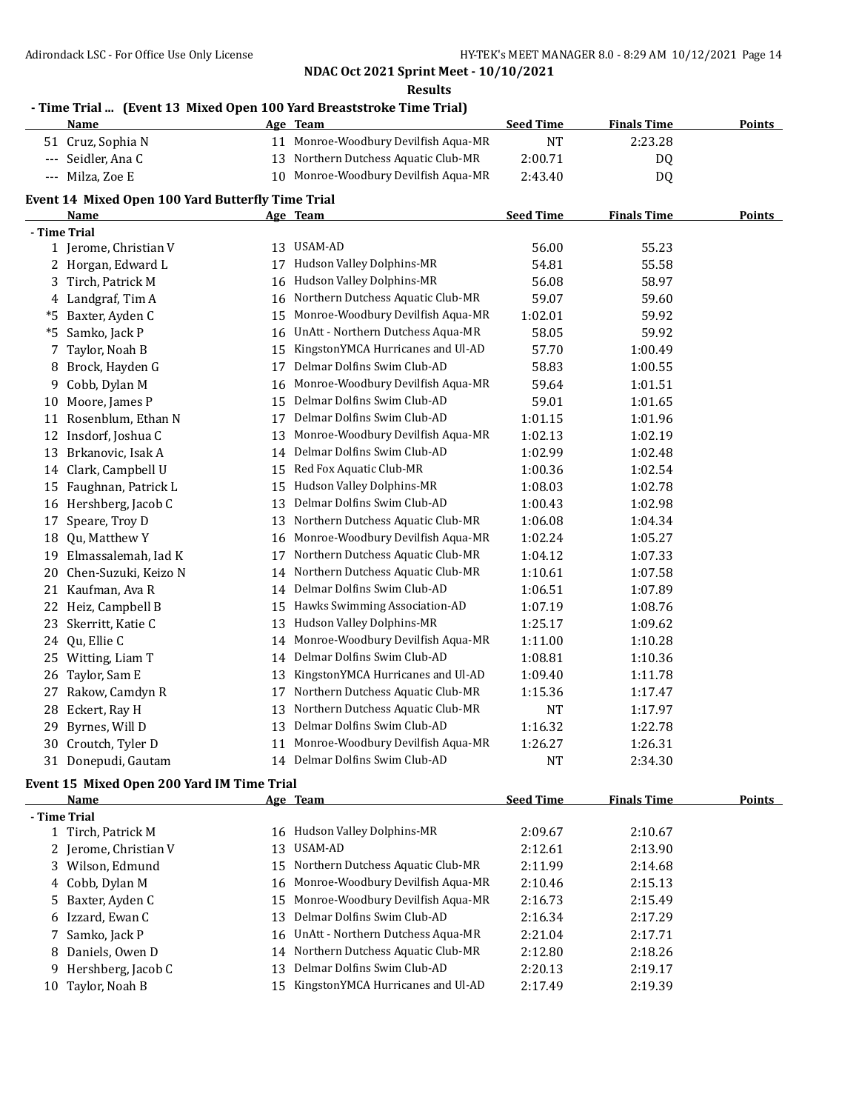**Results**

## **- Time Trial ... (Event 13 Mixed Open 100 Yard Breaststroke Time Trial)**

|    | <b>Name</b>                                       |    | Age Team                             | <b>Seed Time</b> | <b>Finals Time</b> | <b>Points</b> |
|----|---------------------------------------------------|----|--------------------------------------|------------------|--------------------|---------------|
|    | 51 Cruz, Sophia N                                 |    | 11 Monroe-Woodbury Devilfish Aqua-MR | <b>NT</b>        | 2:23.28            |               |
|    | --- Seidler, Ana C                                |    | 13 Northern Dutchess Aquatic Club-MR | 2:00.71          | DQ                 |               |
|    | --- Milza, Zoe E                                  |    | 10 Monroe-Woodbury Devilfish Aqua-MR | 2:43.40          | DQ                 |               |
|    | Event 14 Mixed Open 100 Yard Butterfly Time Trial |    |                                      |                  |                    |               |
|    | <u>Name</u>                                       |    | Age Team                             | <b>Seed Time</b> | <b>Finals Time</b> | <b>Points</b> |
|    | - Time Trial                                      |    |                                      |                  |                    |               |
|    | 1 Jerome, Christian V                             |    | 13 USAM-AD                           | 56.00            | 55.23              |               |
|    | 2 Horgan, Edward L                                |    | 17 Hudson Valley Dolphins-MR         | 54.81            | 55.58              |               |
|    | 3 Tirch, Patrick M                                | 16 | Hudson Valley Dolphins-MR            | 56.08            | 58.97              |               |
|    | 4 Landgraf, Tim A                                 | 16 | Northern Dutchess Aquatic Club-MR    | 59.07            | 59.60              |               |
| *5 | Baxter, Ayden C                                   | 15 | Monroe-Woodbury Devilfish Aqua-MR    | 1:02.01          | 59.92              |               |
| *5 | Samko, Jack P                                     | 16 | UnAtt - Northern Dutchess Aqua-MR    | 58.05            | 59.92              |               |
|    | 7 Taylor, Noah B                                  | 15 | KingstonYMCA Hurricanes and Ul-AD    | 57.70            | 1:00.49            |               |
|    | 8 Brock, Hayden G                                 | 17 | Delmar Dolfins Swim Club-AD          | 58.83            | 1:00.55            |               |
|    | 9 Cobb, Dylan M                                   | 16 | Monroe-Woodbury Devilfish Aqua-MR    | 59.64            | 1:01.51            |               |
| 10 | Moore, James P                                    |    | 15 Delmar Dolfins Swim Club-AD       | 59.01            | 1:01.65            |               |
|    | 11 Rosenblum, Ethan N                             |    | 17 Delmar Dolfins Swim Club-AD       | 1:01.15          | 1:01.96            |               |
|    | 12 Insdorf, Joshua C                              | 13 | Monroe-Woodbury Devilfish Aqua-MR    | 1:02.13          | 1:02.19            |               |
|    | 13 Brkanovic, Isak A                              |    | 14 Delmar Dolfins Swim Club-AD       | 1:02.99          | 1:02.48            |               |
|    | 14 Clark, Campbell U                              | 15 | Red Fox Aquatic Club-MR              | 1:00.36          | 1:02.54            |               |
|    | 15 Faughnan, Patrick L                            | 15 | Hudson Valley Dolphins-MR            | 1:08.03          | 1:02.78            |               |
|    | 16 Hershberg, Jacob C                             | 13 | Delmar Dolfins Swim Club-AD          | 1:00.43          | 1:02.98            |               |
|    | 17 Speare, Troy D                                 | 13 | Northern Dutchess Aquatic Club-MR    | 1:06.08          | 1:04.34            |               |
|    | 18 Qu, Matthew Y                                  | 16 | Monroe-Woodbury Devilfish Aqua-MR    | 1:02.24          | 1:05.27            |               |
|    | 19 Elmassalemah, Iad K                            | 17 | Northern Dutchess Aquatic Club-MR    | 1:04.12          | 1:07.33            |               |
| 20 | Chen-Suzuki, Keizo N                              | 14 | Northern Dutchess Aquatic Club-MR    | 1:10.61          | 1:07.58            |               |
|    | 21 Kaufman, Ava R                                 | 14 | Delmar Dolfins Swim Club-AD          | 1:06.51          | 1:07.89            |               |
|    | 22 Heiz, Campbell B                               |    | 15 Hawks Swimming Association-AD     | 1:07.19          | 1:08.76            |               |
|    | 23 Skerritt, Katie C                              | 13 | Hudson Valley Dolphins-MR            | 1:25.17          | 1:09.62            |               |
|    | 24 Qu, Ellie C                                    | 14 | Monroe-Woodbury Devilfish Aqua-MR    | 1:11.00          | 1:10.28            |               |
|    | 25 Witting, Liam T                                | 14 | Delmar Dolfins Swim Club-AD          | 1:08.81          | 1:10.36            |               |
| 26 | Taylor, Sam E                                     | 13 | KingstonYMCA Hurricanes and Ul-AD    | 1:09.40          | 1:11.78            |               |
|    | 27 Rakow, Camdyn R                                | 17 | Northern Dutchess Aquatic Club-MR    | 1:15.36          | 1:17.47            |               |
|    | 28 Eckert, Ray H                                  | 13 | Northern Dutchess Aquatic Club-MR    | <b>NT</b>        | 1:17.97            |               |
|    | 29 Byrnes, Will D                                 | 13 | Delmar Dolfins Swim Club-AD          | 1:16.32          | 1:22.78            |               |
|    | 30 Croutch, Tyler D                               | 11 | Monroe-Woodbury Devilfish Aqua-MR    | 1:26.27          | 1:26.31            |               |
|    | 31 Donepudi, Gautam                               |    | 14 Delmar Dolfins Swim Club-AD       | <b>NT</b>        | 2:34.30            |               |
|    | Event 15 Mixed Open 200 Yard IM Time Trial        |    |                                      |                  |                    |               |

|     | <b>Name</b>           |     | Age Team                             | <b>Seed Time</b> | <b>Finals Time</b> | <b>Points</b> |
|-----|-----------------------|-----|--------------------------------------|------------------|--------------------|---------------|
|     | - Time Trial          |     |                                      |                  |                    |               |
|     | 1 Tirch, Patrick M    |     | 16 Hudson Valley Dolphins-MR         | 2:09.67          | 2:10.67            |               |
|     | 2 Jerome, Christian V | 13. | USAM-AD                              | 2:12.61          | 2:13.90            |               |
|     | 3 Wilson, Edmund      |     | 15 Northern Dutchess Aquatic Club-MR | 2:11.99          | 2:14.68            |               |
|     | 4 Cobb, Dylan M       |     | 16 Monroe-Woodbury Devilfish Aqua-MR | 2:10.46          | 2:15.13            |               |
|     | 5 Baxter, Ayden C     |     | 15 Monroe-Woodbury Devilfish Aqua-MR | 2:16.73          | 2:15.49            |               |
|     | 6 Izzard, Ewan C      |     | 13 Delmar Dolfins Swim Club-AD       | 2:16.34          | 2:17.29            |               |
|     | 7 Samko, Jack P       |     | 16 UnAtt - Northern Dutchess Aqua-MR | 2:21.04          | 2:17.71            |               |
|     | 8 Daniels, Owen D     |     | 14 Northern Dutchess Aquatic Club-MR | 2:12.80          | 2:18.26            |               |
|     | 9 Hershberg, Jacob C  | 13  | Delmar Dolfins Swim Club-AD          | 2:20.13          | 2:19.17            |               |
| 10- | Taylor, Noah B        |     | 15 KingstonYMCA Hurricanes and Ul-AD | 2:17.49          | 2:19.39            |               |